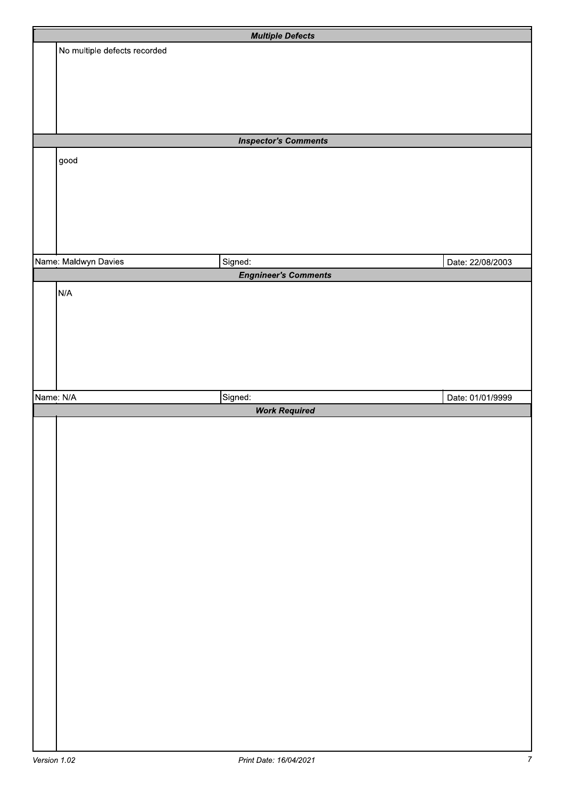|           |                              | <b>Multiple Defects</b>     |                  |
|-----------|------------------------------|-----------------------------|------------------|
|           | No multiple defects recorded |                             |                  |
|           |                              |                             |                  |
|           |                              |                             |                  |
|           |                              |                             |                  |
|           |                              |                             |                  |
|           |                              |                             |                  |
|           |                              | <b>Inspector's Comments</b> |                  |
|           | good                         |                             |                  |
|           |                              |                             |                  |
|           |                              |                             |                  |
|           |                              |                             |                  |
|           |                              |                             |                  |
|           |                              |                             |                  |
|           | Name: Maldwyn Davies         | Signed:                     | Date: 22/08/2003 |
|           |                              | <b>Engnineer's Comments</b> |                  |
|           | N/A                          |                             |                  |
|           |                              |                             |                  |
|           |                              |                             |                  |
|           |                              |                             |                  |
|           |                              |                             |                  |
|           |                              |                             |                  |
|           |                              |                             |                  |
| Name: N/A |                              | Signed:                     | Date: 01/01/9999 |
|           |                              | <b>Work Required</b>        |                  |
|           |                              |                             |                  |
|           |                              |                             |                  |
|           |                              |                             |                  |
|           |                              |                             |                  |
|           |                              |                             |                  |
|           |                              |                             |                  |
|           |                              |                             |                  |
|           |                              |                             |                  |
|           |                              |                             |                  |
|           |                              |                             |                  |
|           |                              |                             |                  |
|           |                              |                             |                  |
|           |                              |                             |                  |
|           |                              |                             |                  |
|           |                              |                             |                  |
|           |                              |                             |                  |
|           |                              |                             |                  |
|           |                              |                             |                  |
|           |                              |                             |                  |
|           |                              |                             |                  |
|           |                              |                             |                  |
|           |                              |                             |                  |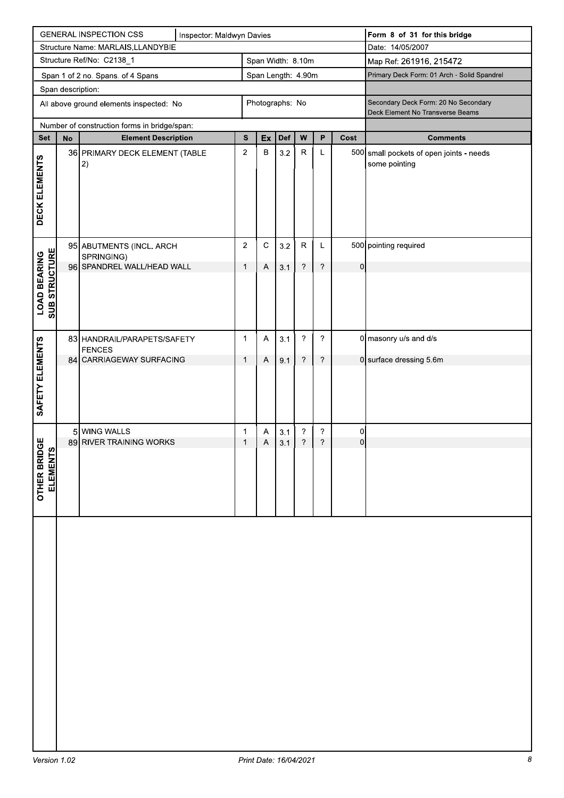|                                             | <b>GENERAL INSPECTION CSS</b><br>Inspector: Maldwyn Davies |                                              |  |                  |                           |     |                          | Form 8 of 31 for this bridge                |                |                                                                          |
|---------------------------------------------|------------------------------------------------------------|----------------------------------------------|--|------------------|---------------------------|-----|--------------------------|---------------------------------------------|----------------|--------------------------------------------------------------------------|
| Structure Name: MARLAIS, LLANDYBIE          |                                                            |                                              |  |                  |                           |     |                          | Date: 14/05/2007                            |                |                                                                          |
|                                             | Structure Ref/No: C2138_1<br>Span Width: 8.10m             |                                              |  |                  |                           |     |                          | Map Ref: 261916, 215472                     |                |                                                                          |
|                                             | Span Length: 4.90m<br>Span 1 of 2 no. Spans. of 4 Spans    |                                              |  |                  |                           |     |                          | Primary Deck Form: 01 Arch - Solid Spandrel |                |                                                                          |
|                                             | Span description:                                          |                                              |  |                  |                           |     |                          |                                             |                |                                                                          |
|                                             |                                                            | All above ground elements inspected: No      |  |                  | Photographs: No           |     |                          |                                             |                | Secondary Deck Form: 20 No Secondary<br>Deck Element No Transverse Beams |
|                                             |                                                            | Number of construction forms in bridge/span: |  |                  |                           |     |                          |                                             |                |                                                                          |
| <b>Set</b>                                  | No                                                         | <b>Element Description</b>                   |  | ${\bf S}$        | Ex                        | Def | W                        | P                                           | Cost           | <b>Comments</b>                                                          |
|                                             |                                                            | 36 PRIMARY DECK ELEMENT (TABLE               |  | $\boldsymbol{2}$ | В                         | 3.2 | ${\sf R}$                | Г                                           |                | 500 small pockets of open joints - needs                                 |
|                                             |                                                            | 2)                                           |  |                  |                           |     |                          |                                             |                | some pointing                                                            |
| DECK ELEMENTS                               |                                                            |                                              |  |                  |                           |     |                          |                                             |                |                                                                          |
|                                             |                                                            |                                              |  |                  |                           |     |                          |                                             |                |                                                                          |
|                                             |                                                            |                                              |  |                  |                           |     |                          |                                             |                |                                                                          |
|                                             |                                                            |                                              |  |                  |                           |     |                          |                                             |                |                                                                          |
|                                             |                                                            |                                              |  |                  |                           |     |                          |                                             |                |                                                                          |
|                                             |                                                            | 95 ABUTMENTS (INCL. ARCH                     |  | $\overline{2}$   | $\mathbf C$               | 3.2 | $\mathsf R$              | L                                           |                | 500 pointing required                                                    |
| <b>SUB STRUCTURE</b><br><b>LOAD BEARING</b> |                                                            | SPRINGING)<br>96 SPANDREL WALL/HEAD WALL     |  | $\mathbf{1}$     | $\overline{A}$            | 3.1 | $\overline{\mathcal{E}}$ | $\overline{\phantom{a}}$                    | $\overline{0}$ |                                                                          |
|                                             |                                                            |                                              |  |                  |                           |     |                          |                                             |                |                                                                          |
|                                             |                                                            |                                              |  |                  |                           |     |                          |                                             |                |                                                                          |
|                                             |                                                            |                                              |  |                  |                           |     |                          |                                             |                |                                                                          |
|                                             |                                                            |                                              |  |                  |                           |     |                          |                                             |                |                                                                          |
|                                             |                                                            | 83 HANDRAIL/PARAPETS/SAFETY                  |  | 1                | A                         | 3.1 | $\overline{\cdot}$       | $\boldsymbol{\mathcal{P}}$                  |                | $0$ masonry u/s and d/s                                                  |
| SAFETY ELEMENTS                             |                                                            | <b>FENCES</b>                                |  |                  |                           |     |                          |                                             |                |                                                                          |
|                                             |                                                            | 84 CARRIAGEWAY SURFACING                     |  | $\mathbf{1}$     | $\boldsymbol{\mathsf{A}}$ | 9.1 | $\ddot{\phantom{0}}$     | $\ddot{\phantom{0}}$                        |                | 0 surface dressing 5.6m                                                  |
|                                             |                                                            |                                              |  |                  |                           |     |                          |                                             |                |                                                                          |
|                                             |                                                            |                                              |  |                  |                           |     |                          |                                             |                |                                                                          |
|                                             |                                                            |                                              |  |                  |                           |     |                          |                                             |                |                                                                          |
|                                             |                                                            | 5 WING WALLS                                 |  | 1                | A                         | 3.1 | $\overline{\mathcal{E}}$ | ?                                           | 0              |                                                                          |
| DGE                                         |                                                            | 89 RIVER TRAINING WORKS                      |  | $\mathbf{1}$     | $\overline{A}$            | 3.1 | $\ddot{\phantom{0}}$     | $\boldsymbol{\cdot}$                        | $\overline{0}$ |                                                                          |
| ှု                                          |                                                            |                                              |  |                  |                           |     |                          |                                             |                |                                                                          |
| ELEMEN <sub>1</sub><br>OTHER BRI            |                                                            |                                              |  |                  |                           |     |                          |                                             |                |                                                                          |
|                                             |                                                            |                                              |  |                  |                           |     |                          |                                             |                |                                                                          |
|                                             |                                                            |                                              |  |                  |                           |     |                          |                                             |                |                                                                          |
|                                             |                                                            |                                              |  |                  |                           |     |                          |                                             |                |                                                                          |
|                                             |                                                            |                                              |  |                  |                           |     |                          |                                             |                |                                                                          |
|                                             |                                                            |                                              |  |                  |                           |     |                          |                                             |                |                                                                          |
|                                             |                                                            |                                              |  |                  |                           |     |                          |                                             |                |                                                                          |
|                                             |                                                            |                                              |  |                  |                           |     |                          |                                             |                |                                                                          |
|                                             |                                                            |                                              |  |                  |                           |     |                          |                                             |                |                                                                          |
|                                             |                                                            |                                              |  |                  |                           |     |                          |                                             |                |                                                                          |
|                                             |                                                            |                                              |  |                  |                           |     |                          |                                             |                |                                                                          |
|                                             |                                                            |                                              |  |                  |                           |     |                          |                                             |                |                                                                          |
|                                             |                                                            |                                              |  |                  |                           |     |                          |                                             |                |                                                                          |
|                                             |                                                            |                                              |  |                  |                           |     |                          |                                             |                |                                                                          |
|                                             |                                                            |                                              |  |                  |                           |     |                          |                                             |                |                                                                          |
|                                             |                                                            |                                              |  |                  |                           |     |                          |                                             |                |                                                                          |
|                                             |                                                            |                                              |  |                  |                           |     |                          |                                             |                |                                                                          |
|                                             |                                                            |                                              |  |                  |                           |     |                          |                                             |                |                                                                          |
|                                             |                                                            |                                              |  |                  |                           |     |                          |                                             |                |                                                                          |
|                                             |                                                            |                                              |  |                  |                           |     |                          |                                             |                |                                                                          |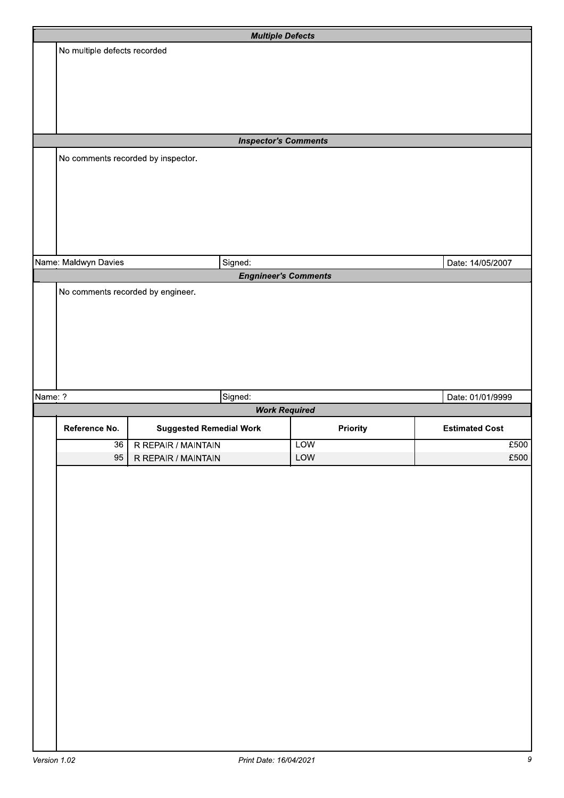|         |                                    | <b>Multiple Defects</b>        |            |                       |
|---------|------------------------------------|--------------------------------|------------|-----------------------|
|         | No multiple defects recorded       |                                |            |                       |
|         |                                    |                                |            |                       |
|         |                                    |                                |            |                       |
|         |                                    |                                |            |                       |
|         |                                    |                                |            |                       |
|         |                                    |                                |            |                       |
|         |                                    |                                |            |                       |
|         |                                    | <b>Inspector's Comments</b>    |            |                       |
|         |                                    |                                |            |                       |
|         | No comments recorded by inspector. |                                |            |                       |
|         |                                    |                                |            |                       |
|         |                                    |                                |            |                       |
|         |                                    |                                |            |                       |
|         |                                    |                                |            |                       |
|         |                                    |                                |            |                       |
|         |                                    |                                |            |                       |
|         |                                    |                                |            |                       |
|         | Name: Maldwyn Davies               | Signed:                        |            | Date: 14/05/2007      |
|         |                                    | <b>Engnineer's Comments</b>    |            |                       |
|         | No comments recorded by engineer.  |                                |            |                       |
|         |                                    |                                |            |                       |
|         |                                    |                                |            |                       |
|         |                                    |                                |            |                       |
|         |                                    |                                |            |                       |
|         |                                    |                                |            |                       |
|         |                                    |                                |            |                       |
|         |                                    |                                |            |                       |
|         |                                    |                                |            |                       |
|         |                                    |                                |            |                       |
| Name: ? |                                    | Signed:                        |            | Date: 01/01/9999      |
|         |                                    | <b>Work Required</b>           |            |                       |
|         |                                    |                                |            |                       |
|         | Reference No.                      | <b>Suggested Remedial Work</b> | Priority   | <b>Estimated Cost</b> |
|         | 36                                 | R REPAIR / MAINTAIN            | <b>LOW</b> | £500                  |
|         | 95                                 | R REPAIR / MAINTAIN            | LOW        | £500                  |
|         |                                    |                                |            |                       |
|         |                                    |                                |            |                       |
|         |                                    |                                |            |                       |
|         |                                    |                                |            |                       |
|         |                                    |                                |            |                       |
|         |                                    |                                |            |                       |
|         |                                    |                                |            |                       |
|         |                                    |                                |            |                       |
|         |                                    |                                |            |                       |
|         |                                    |                                |            |                       |
|         |                                    |                                |            |                       |
|         |                                    |                                |            |                       |
|         |                                    |                                |            |                       |
|         |                                    |                                |            |                       |
|         |                                    |                                |            |                       |
|         |                                    |                                |            |                       |
|         |                                    |                                |            |                       |
|         |                                    |                                |            |                       |
|         |                                    |                                |            |                       |
|         |                                    |                                |            |                       |
|         |                                    |                                |            |                       |
|         |                                    |                                |            |                       |
|         |                                    |                                |            |                       |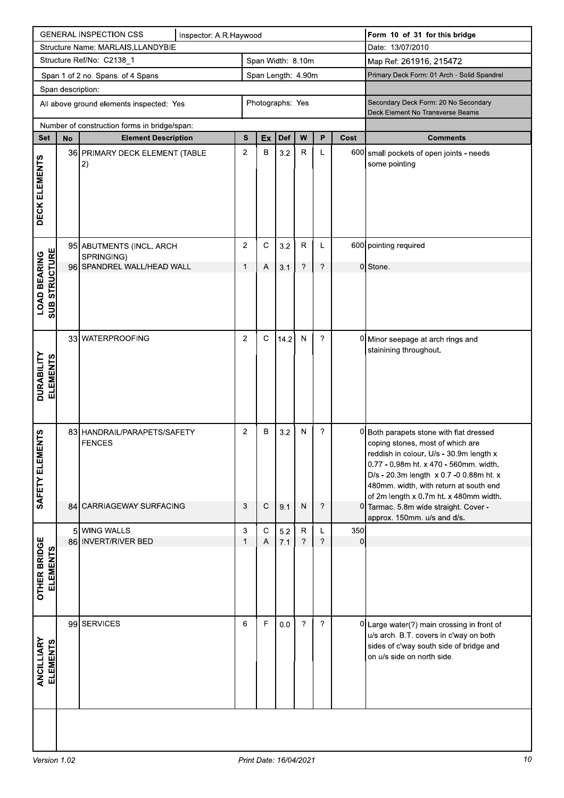|                                             | <b>GENERAL INSPECTION CSS</b><br>Inspector: A.R.Haywood |                                              |  |                   |                    |      |                | Form 10 of 31 for this bridge |                |                                                                                                                                                                                                                                                                                                 |
|---------------------------------------------|---------------------------------------------------------|----------------------------------------------|--|-------------------|--------------------|------|----------------|-------------------------------|----------------|-------------------------------------------------------------------------------------------------------------------------------------------------------------------------------------------------------------------------------------------------------------------------------------------------|
| Structure Name: MARLAIS, LLANDYBIE          |                                                         |                                              |  |                   |                    |      |                | Date: 13/07/2010              |                |                                                                                                                                                                                                                                                                                                 |
|                                             |                                                         | Structure Ref/No: C2138_1                    |  | Span Width: 8.10m |                    |      |                |                               |                | Map Ref: 261916, 215472                                                                                                                                                                                                                                                                         |
|                                             |                                                         | Span 1 of 2 no. Spans. of 4 Spans            |  |                   | Span Length: 4.90m |      |                |                               |                | Primary Deck Form: 01 Arch - Solid Spandrel                                                                                                                                                                                                                                                     |
|                                             | Span description:                                       |                                              |  |                   |                    |      |                |                               |                |                                                                                                                                                                                                                                                                                                 |
| All above ground elements inspected: Yes    |                                                         |                                              |  |                   | Photographs: Yes   |      |                |                               |                | Secondary Deck Form: 20 No Secondary<br>Deck Element No Transverse Beams                                                                                                                                                                                                                        |
|                                             |                                                         | Number of construction forms in bridge/span: |  |                   |                    |      |                |                               |                |                                                                                                                                                                                                                                                                                                 |
| <b>Set</b>                                  | No                                                      | <b>Element Description</b>                   |  | S                 | Ex                 | Def  | W              | P                             | Cost           | <b>Comments</b>                                                                                                                                                                                                                                                                                 |
| DECK ELEMENTS                               |                                                         | 36 PRIMARY DECK ELEMENT (TABLE<br> 2)        |  | $\overline{c}$    | B                  | 3.2  | $\mathsf R$    | L                             |                | 600 small pockets of open joints - needs<br>some pointing                                                                                                                                                                                                                                       |
|                                             |                                                         | 95 ABUTMENTS (INCL. ARCH                     |  | $\overline{2}$    | $\mathbf C$        | 3.2  | $\mathsf{R}$   | L                             |                | 600 pointing required                                                                                                                                                                                                                                                                           |
|                                             |                                                         | SPRINGING)<br>96 SPANDREL WALL/HEAD WALL     |  | 1                 | Α                  | 3.1  | ?              | $\overline{\phantom{a}}$      |                | 0 Stone.                                                                                                                                                                                                                                                                                        |
| <b>SUB STRUCTURE</b><br><b>LOAD BEARING</b> |                                                         |                                              |  |                   |                    |      |                |                               |                |                                                                                                                                                                                                                                                                                                 |
| DURABILITY<br>ELEMENTS                      |                                                         | 33 WATERPROOFING                             |  | $\overline{2}$    | $\mathsf C$        | 14.2 | N              | ?                             |                | 0 Minor seepage at arch rings and<br>stainining throughout.                                                                                                                                                                                                                                     |
| <b>IENTS</b><br>SAFETY ELEM                 |                                                         | 83 HANDRAIL/PARAPETS/SAFETY<br><b>FENCES</b> |  | $\overline{2}$    | В                  | 3.2  | N              | ?                             |                | 0 Both parapets stone with flat dressed<br>coping stones, most of which are<br>reddish in colour. U/s - 30.9m length x<br>0.77 - 0.98m ht. x 470 - 560mm. width.<br>D/s - 20.3m length x 0.7 -0 0.88m ht. x<br>480mm. width, with return at south end<br>of 2m length x 0.7m ht. x 480mm width. |
|                                             |                                                         | 84 CARRIAGEWAY SURFACING                     |  | 3                 | $\mathsf C$        | 9.1  | $\mathsf{N}$   | ?                             |                | 0 Tarmac. 5.8m wide straight. Cover -<br>approx. 150mm. u/s and d/s.                                                                                                                                                                                                                            |
|                                             |                                                         | 5 WING WALLS                                 |  | 3                 | С                  | 5.2  | ${\sf R}$      | L                             | 350            |                                                                                                                                                                                                                                                                                                 |
| <b>OTHER BRIDGE</b><br><b>ELEMENTS</b>      |                                                         | 86 INVERT/RIVER BED                          |  | 1                 | Α                  | 7.1  | $\gamma$       | $\gamma$                      | $\overline{0}$ |                                                                                                                                                                                                                                                                                                 |
| ANCILLIARY<br><b>ELEMENTS</b>               |                                                         | 99 SERVICES                                  |  | 6                 | $\mathsf F$        | 0.0  | $\overline{?}$ | ?                             |                | 0 Large water(?) main crossing in front of<br>u/s arch. B.T. covers in c'way on both<br>sides of c'way south side of bridge and<br>on u/s side on north side.                                                                                                                                   |
|                                             |                                                         |                                              |  |                   |                    |      |                |                               |                |                                                                                                                                                                                                                                                                                                 |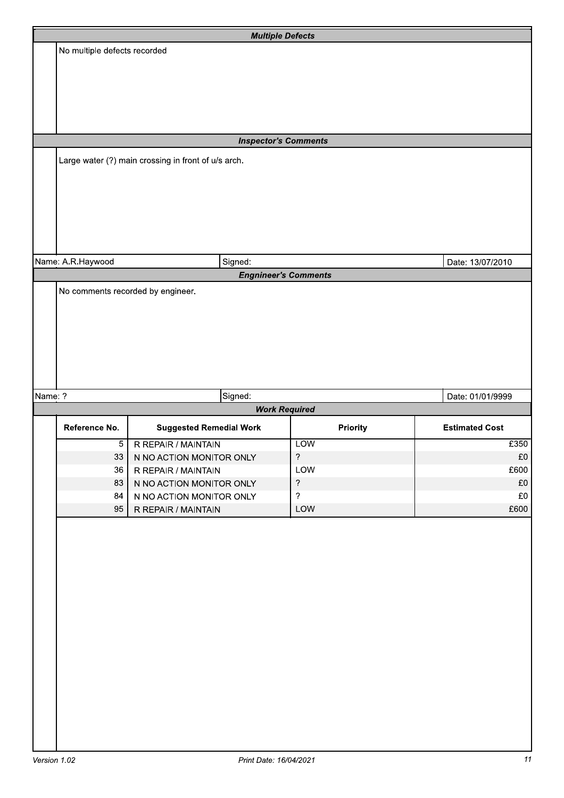|         |                                   |                                                     | <b>Multiple Defects</b>     |                       |
|---------|-----------------------------------|-----------------------------------------------------|-----------------------------|-----------------------|
|         | No multiple defects recorded      |                                                     |                             |                       |
|         |                                   |                                                     |                             |                       |
|         |                                   |                                                     |                             |                       |
|         |                                   |                                                     |                             |                       |
|         |                                   |                                                     |                             |                       |
|         |                                   |                                                     |                             |                       |
|         |                                   |                                                     | <b>Inspector's Comments</b> |                       |
|         |                                   | Large water (?) main crossing in front of u/s arch. |                             |                       |
|         |                                   |                                                     |                             |                       |
|         |                                   |                                                     |                             |                       |
|         |                                   |                                                     |                             |                       |
|         |                                   |                                                     |                             |                       |
|         |                                   |                                                     |                             |                       |
|         |                                   |                                                     |                             |                       |
|         | Name: A.R.Haywood                 | Signed:                                             |                             | Date: 13/07/2010      |
|         |                                   |                                                     | <b>Engnineer's Comments</b> |                       |
|         | No comments recorded by engineer. |                                                     |                             |                       |
|         |                                   |                                                     |                             |                       |
|         |                                   |                                                     |                             |                       |
|         |                                   |                                                     |                             |                       |
|         |                                   |                                                     |                             |                       |
|         |                                   |                                                     |                             |                       |
|         |                                   |                                                     |                             |                       |
|         |                                   |                                                     |                             |                       |
| Name: ? |                                   | Signed:                                             |                             | Date: 01/01/9999      |
|         |                                   |                                                     | <b>Work Required</b>        |                       |
|         | Reference No.                     | <b>Suggested Remedial Work</b>                      | Priority                    | <b>Estimated Cost</b> |
|         | $\overline{5}$                    | R REPAIR / MAINTAIN                                 | <b>LOW</b>                  | £350                  |
|         | 33                                | N NO ACTION MONITOR ONLY                            | $\overline{?}$              | £0                    |
|         | 36                                | R REPAIR / MAINTAIN                                 | LOW                         | £600                  |
|         | 83                                | N NO ACTION MONITOR ONLY                            | $\overline{?}$              | $\pounds 0$           |
|         | 84                                | N NO ACTION MONITOR ONLY                            | $\overline{?}$              | $\mathfrak{L}0$       |
|         | 95                                | R REPAIR / MAINTAIN                                 | LOW                         | £600                  |
|         |                                   |                                                     |                             |                       |
|         |                                   |                                                     |                             |                       |
|         |                                   |                                                     |                             |                       |
|         |                                   |                                                     |                             |                       |
|         |                                   |                                                     |                             |                       |
|         |                                   |                                                     |                             |                       |
|         |                                   |                                                     |                             |                       |
|         |                                   |                                                     |                             |                       |
|         |                                   |                                                     |                             |                       |
|         |                                   |                                                     |                             |                       |
|         |                                   |                                                     |                             |                       |
|         |                                   |                                                     |                             |                       |
|         |                                   |                                                     |                             |                       |
|         |                                   |                                                     |                             |                       |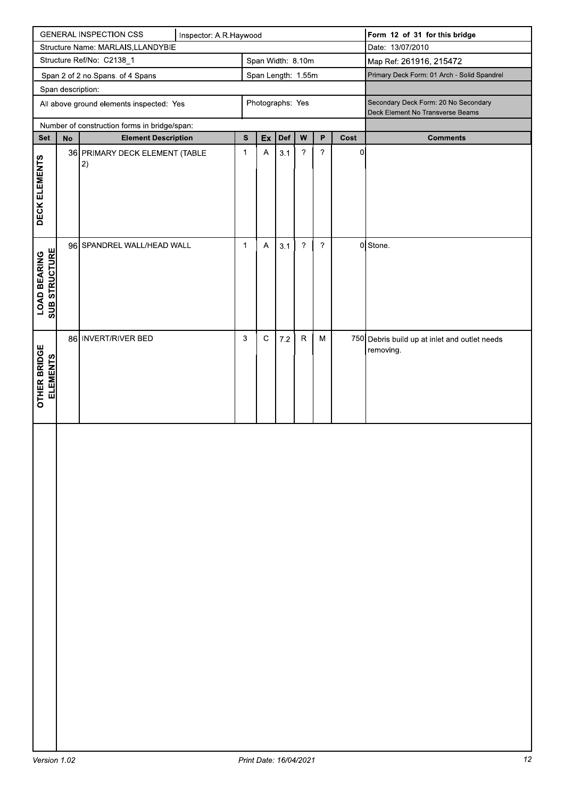| <b>GENERAL INSPECTION CSS</b><br>Inspector: A.R.Haywood |                                                        |                                              |  |              |                           |     | Form 12 of 31 for this bridge |                            |                                             |                                                                          |
|---------------------------------------------------------|--------------------------------------------------------|----------------------------------------------|--|--------------|---------------------------|-----|-------------------------------|----------------------------|---------------------------------------------|--------------------------------------------------------------------------|
| Structure Name: MARLAIS, LLANDYBIE                      |                                                        |                                              |  |              |                           |     |                               | Date: 13/07/2010           |                                             |                                                                          |
|                                                         | Structure Ref/No: C2138_1<br>Span Width: 8.10m         |                                              |  |              |                           |     |                               | Map Ref: 261916, 215472    |                                             |                                                                          |
|                                                         | Span Length: 1.55m<br>Span 2 of 2 no.Spans. of 4 Spans |                                              |  |              |                           |     |                               |                            | Primary Deck Form: 01 Arch - Solid Spandrel |                                                                          |
|                                                         | Span description:                                      |                                              |  |              |                           |     |                               |                            |                                             |                                                                          |
|                                                         |                                                        | All above ground elements inspected: Yes     |  |              | Photographs: Yes          |     |                               |                            |                                             | Secondary Deck Form: 20 No Secondary<br>Deck Element No Transverse Beams |
|                                                         |                                                        | Number of construction forms in bridge/span: |  |              |                           |     |                               |                            |                                             |                                                                          |
| <b>Set</b>                                              | ${\sf No}$                                             | <b>Element Description</b>                   |  | ${\bf s}$    | Ex                        | Def | ${\bf W}$                     | P                          | Cost                                        | <b>Comments</b>                                                          |
| DECK ELEMENTS                                           |                                                        | 36 PRIMARY DECK ELEMENT (TABLE<br> 2)        |  | $\mathbf{1}$ | $\mathsf A$               | 3.1 | $\boldsymbol{?}$              | $\boldsymbol{\mathcal{P}}$ | $\overline{0}$                              |                                                                          |
| <b>SUB STRUCTURE</b><br><b>LOAD BEARING</b>             |                                                        | 96 SPANDREL WALL/HEAD WALL                   |  | $\mathbf{1}$ | $\boldsymbol{\mathsf{A}}$ | 3.1 | $\overline{\phantom{a}}$      | $\overline{\phantom{0}}$   |                                             | 0 Stone.                                                                 |
| <b>OTHER BRIDGE</b><br><b>ELEMENTS</b>                  |                                                        | 86 INVERT/RIVER BED                          |  | 3            | $\mathsf C$               | 7.2 | ${\sf R}$                     | M                          |                                             | 750 Debris build up at inlet and outlet needs<br>removing.               |
|                                                         |                                                        |                                              |  |              |                           |     |                               |                            |                                             |                                                                          |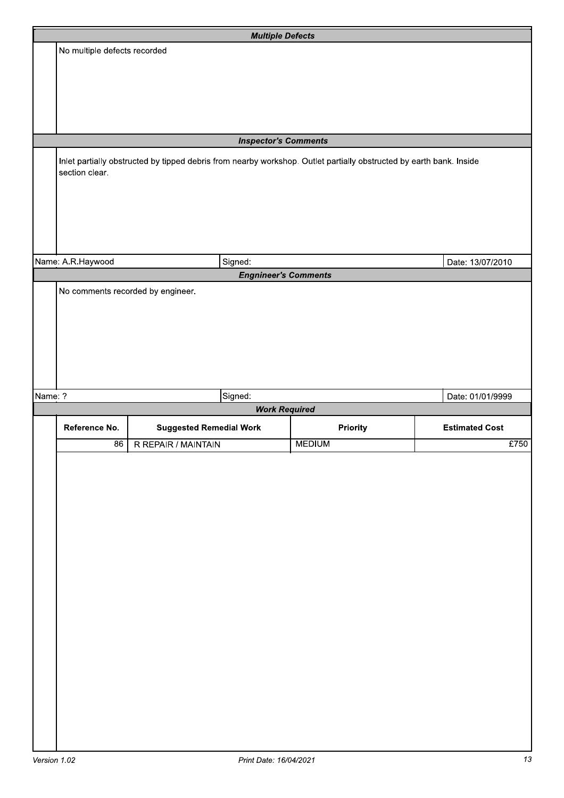|         |                                   | <b>Multiple Defects</b>                                                                                             |                 |                       |
|---------|-----------------------------------|---------------------------------------------------------------------------------------------------------------------|-----------------|-----------------------|
|         | No multiple defects recorded      |                                                                                                                     |                 |                       |
|         |                                   |                                                                                                                     |                 |                       |
|         |                                   |                                                                                                                     |                 |                       |
|         |                                   |                                                                                                                     |                 |                       |
|         |                                   |                                                                                                                     |                 |                       |
|         |                                   |                                                                                                                     |                 |                       |
|         |                                   | <b>Inspector's Comments</b>                                                                                         |                 |                       |
|         | section clear.                    | Inlet partially obstructed by tipped debris from nearby workshop. Outlet partially obstructed by earth bank. Inside |                 |                       |
|         |                                   |                                                                                                                     |                 |                       |
|         |                                   |                                                                                                                     |                 |                       |
|         |                                   |                                                                                                                     |                 |                       |
|         |                                   |                                                                                                                     |                 |                       |
|         |                                   |                                                                                                                     |                 |                       |
|         | Name: A.R.Haywood                 | Signed:                                                                                                             |                 | Date: 13/07/2010      |
|         |                                   | <b>Engnineer's Comments</b>                                                                                         |                 |                       |
|         | No comments recorded by engineer. |                                                                                                                     |                 |                       |
|         |                                   |                                                                                                                     |                 |                       |
|         |                                   |                                                                                                                     |                 |                       |
|         |                                   |                                                                                                                     |                 |                       |
|         |                                   |                                                                                                                     |                 |                       |
|         |                                   |                                                                                                                     |                 |                       |
| Name: ? |                                   | Signed:                                                                                                             |                 | Date: 01/01/9999      |
|         |                                   | <b>Work Required</b>                                                                                                |                 |                       |
|         | Reference No.                     | <b>Suggested Remedial Work</b>                                                                                      | <b>Priority</b> | <b>Estimated Cost</b> |
|         | $\overline{86}$                   | R REPAIR / MAINTAIN                                                                                                 | <b>MEDIUM</b>   | £750                  |
|         |                                   |                                                                                                                     |                 |                       |
|         |                                   |                                                                                                                     |                 |                       |
|         |                                   |                                                                                                                     |                 |                       |
|         |                                   |                                                                                                                     |                 |                       |
|         |                                   |                                                                                                                     |                 |                       |
|         |                                   |                                                                                                                     |                 |                       |
|         |                                   |                                                                                                                     |                 |                       |
|         |                                   |                                                                                                                     |                 |                       |
|         |                                   |                                                                                                                     |                 |                       |
|         |                                   |                                                                                                                     |                 |                       |
|         |                                   |                                                                                                                     |                 |                       |
|         |                                   |                                                                                                                     |                 |                       |
|         |                                   |                                                                                                                     |                 |                       |
|         |                                   |                                                                                                                     |                 |                       |
|         |                                   |                                                                                                                     |                 |                       |
|         |                                   |                                                                                                                     |                 |                       |
|         |                                   |                                                                                                                     |                 |                       |
|         |                                   |                                                                                                                     |                 |                       |
|         |                                   |                                                                                                                     |                 |                       |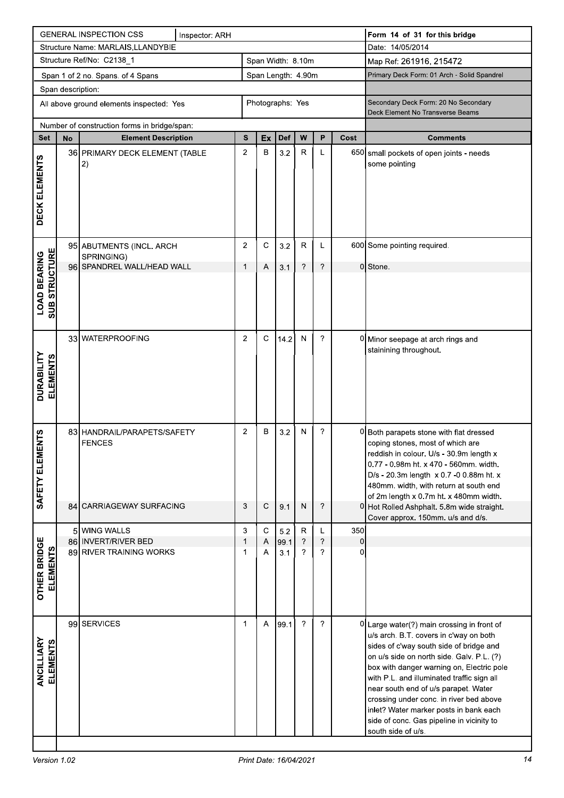|                                             |                                                         | <b>GENERAL INSPECTION CSS</b>                                            | Inspector: ARH   |                     |                   |             |                               |                                                                          |                     | Form 14 of 31 for this bridge                                                                                                                                                                                                                                                                                                                                                                                                                     |
|---------------------------------------------|---------------------------------------------------------|--------------------------------------------------------------------------|------------------|---------------------|-------------------|-------------|-------------------------------|--------------------------------------------------------------------------|---------------------|---------------------------------------------------------------------------------------------------------------------------------------------------------------------------------------------------------------------------------------------------------------------------------------------------------------------------------------------------------------------------------------------------------------------------------------------------|
|                                             |                                                         | Structure Name: MARLAIS, LLANDYBIE                                       |                  |                     |                   |             |                               |                                                                          |                     | Date: 14/05/2014                                                                                                                                                                                                                                                                                                                                                                                                                                  |
|                                             |                                                         | Structure Ref/No: C2138_1                                                |                  |                     | Span Width: 8.10m |             |                               |                                                                          |                     | Map Ref: 261916, 215472                                                                                                                                                                                                                                                                                                                                                                                                                           |
|                                             | Span Length: 4.90m<br>Span 1 of 2 no. Spans. of 4 Spans |                                                                          |                  |                     |                   |             |                               | Primary Deck Form: 01 Arch - Solid Spandrel                              |                     |                                                                                                                                                                                                                                                                                                                                                                                                                                                   |
|                                             | Span description:                                       |                                                                          |                  |                     |                   |             |                               |                                                                          |                     |                                                                                                                                                                                                                                                                                                                                                                                                                                                   |
| All above ground elements inspected: Yes    |                                                         |                                                                          | Photographs: Yes |                     |                   |             |                               | Secondary Deck Form: 20 No Secondary<br>Deck Element No Transverse Beams |                     |                                                                                                                                                                                                                                                                                                                                                                                                                                                   |
|                                             |                                                         | Number of construction forms in bridge/span:                             |                  |                     |                   |             |                               |                                                                          |                     |                                                                                                                                                                                                                                                                                                                                                                                                                                                   |
| <b>Set</b>                                  | <b>No</b>                                               | <b>Element Description</b>                                               |                  | S                   | Ex                | Def         | W                             | P                                                                        | Cost                | <b>Comments</b>                                                                                                                                                                                                                                                                                                                                                                                                                                   |
| DECK ELEMENTS                               |                                                         | 36 PRIMARY DECK ELEMENT (TABLE<br>2)                                     |                  | 2                   | B                 | 3.2         | $\mathsf{R}$                  | L                                                                        |                     | 650 small pockets of open joints - needs<br>some pointing                                                                                                                                                                                                                                                                                                                                                                                         |
|                                             |                                                         | 95 ABUTMENTS (INCL. ARCH                                                 |                  | $\overline{2}$      | C                 | 3.2         | $\mathsf R$                   | L                                                                        |                     | 600 Some pointing required.                                                                                                                                                                                                                                                                                                                                                                                                                       |
|                                             |                                                         | SPRINGING)<br>96 SPANDREL WALL/HEAD WALL                                 |                  | 1                   | Α                 | 3.1         | ?                             | ?                                                                        |                     | 0 Stone.                                                                                                                                                                                                                                                                                                                                                                                                                                          |
| <b>SUB STRUCTURE</b><br><b>LOAD BEARING</b> |                                                         |                                                                          |                  |                     |                   |             |                               |                                                                          |                     |                                                                                                                                                                                                                                                                                                                                                                                                                                                   |
| <b>DURABILITY<br/>ELEMENTS</b>              |                                                         | 33 WATERPROOFING                                                         |                  | $\overline{2}$      | $\mathsf C$       | 14.2        | N                             | ?                                                                        |                     | 0 Minor seepage at arch rings and<br>stainining throughout.                                                                                                                                                                                                                                                                                                                                                                                       |
| <b>ENTS</b><br>ELEM<br>SAFETY               |                                                         | 83 HANDRAIL/PARAPETS/SAFETY<br><b>FENCES</b><br>84 CARRIAGEWAY SURFACING |                  | $\overline{2}$<br>3 | B<br>$\mathsf C$  | 3.2         | N<br>$\mathsf{N}$             | ?<br>?                                                                   |                     | 0 Both parapets stone with flat dressed<br>coping stones, most of which are<br>reddish in colour. U/s - 30.9m length x<br>0.77 - 0.98m ht. x 470 - 560mm. width.<br>D/s - 20.3m length x 0.7 -0 0.88m ht. x<br>480mm. width, with return at south end<br>of 2m length x 0.7m ht. x 480mm width.                                                                                                                                                   |
|                                             |                                                         |                                                                          |                  |                     |                   | 9.1         |                               |                                                                          |                     | 0 Hot Rolled Ashphalt. 5.8m wide straight.<br>Cover approx. 150mm. u/s and d/s.                                                                                                                                                                                                                                                                                                                                                                   |
|                                             |                                                         | 5 WING WALLS                                                             |                  | 3                   | $\mathbf C$       | 5.2         | $\mathsf{R}$                  | L                                                                        | 350                 |                                                                                                                                                                                                                                                                                                                                                                                                                                                   |
| <b>OTHER BRIDGE</b><br><b>ELEMENTS</b>      |                                                         | 86 INVERT/RIVER BED<br>89 RIVER TRAINING WORKS                           |                  | 1<br>1              | Α<br>Α            | 99.1<br>3.1 | ?<br>$\overline{\phantom{a}}$ | $\boldsymbol{\gamma}$<br>?                                               | $\overline{0}$<br>0 |                                                                                                                                                                                                                                                                                                                                                                                                                                                   |
| ANCILLIARY<br><b>ELEMENTS</b>               |                                                         | 99 SERVICES                                                              |                  | 1                   | A                 | 99.1        | $\overline{?}$                | ?                                                                        |                     | 0 Large water(?) main crossing in front of<br>u/s arch. B.T. covers in c'way on both<br>sides of c'way south side of bridge and<br>on u/s side on north side. Galv. P.L. (?)<br>box with danger warning on, Electric pole<br>with P.L. and illuminated traffic sign all<br>near south end of u/s parapet. Water<br>crossing under conc. in river bed above<br>inlet? Water marker posts in bank each<br>side of conc. Gas pipeline in vicinity to |
|                                             |                                                         |                                                                          |                  |                     |                   |             |                               |                                                                          |                     | south side of u/s.                                                                                                                                                                                                                                                                                                                                                                                                                                |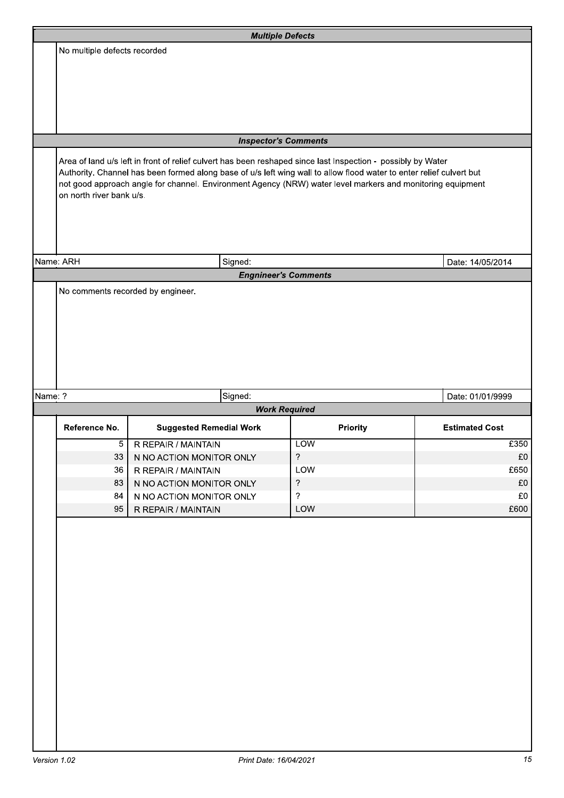|         |                              |                                                                                                                                                                                                                                                                                                                                                    | <b>Multiple Defects</b>     |                       |
|---------|------------------------------|----------------------------------------------------------------------------------------------------------------------------------------------------------------------------------------------------------------------------------------------------------------------------------------------------------------------------------------------------|-----------------------------|-----------------------|
|         | No multiple defects recorded |                                                                                                                                                                                                                                                                                                                                                    |                             |                       |
|         |                              |                                                                                                                                                                                                                                                                                                                                                    |                             |                       |
|         |                              |                                                                                                                                                                                                                                                                                                                                                    |                             |                       |
|         |                              |                                                                                                                                                                                                                                                                                                                                                    |                             |                       |
|         |                              |                                                                                                                                                                                                                                                                                                                                                    |                             |                       |
|         |                              |                                                                                                                                                                                                                                                                                                                                                    |                             |                       |
|         |                              |                                                                                                                                                                                                                                                                                                                                                    | <b>Inspector's Comments</b> |                       |
|         | on north river bank u/s.     | Area of land u/s left in front of relief culvert has been reshaped since last Inspection - possibly by Water<br>Authority. Channel has been formed along base of u/s left wing wall to allow flood water to enter relief culvert but<br>not good approach angle for channel. Environment Agency (NRW) water level markers and monitoring equipment |                             |                       |
|         |                              |                                                                                                                                                                                                                                                                                                                                                    |                             |                       |
|         | Name: ARH                    | Signed:                                                                                                                                                                                                                                                                                                                                            |                             | Date: 14/05/2014      |
|         |                              |                                                                                                                                                                                                                                                                                                                                                    | <b>Engnineer's Comments</b> |                       |
|         |                              |                                                                                                                                                                                                                                                                                                                                                    |                             |                       |
| Name: ? |                              | Signed:                                                                                                                                                                                                                                                                                                                                            |                             | Date: 01/01/9999      |
|         |                              |                                                                                                                                                                                                                                                                                                                                                    | <b>Work Required</b>        |                       |
|         | Reference No.                | <b>Suggested Remedial Work</b>                                                                                                                                                                                                                                                                                                                     | Priority                    | <b>Estimated Cost</b> |
|         | 5                            | R REPAIR / MAINTAIN                                                                                                                                                                                                                                                                                                                                | <b>LOW</b>                  | £350                  |
|         | 33                           | N NO ACTION MONITOR ONLY                                                                                                                                                                                                                                                                                                                           | $\overline{\phantom{a}}$    | £0                    |
|         |                              |                                                                                                                                                                                                                                                                                                                                                    | LOW                         | £650                  |
|         | 36                           | R REPAIR / MAINTAIN                                                                                                                                                                                                                                                                                                                                |                             |                       |
|         | 83                           | N NO ACTION MONITOR ONLY                                                                                                                                                                                                                                                                                                                           | $\gamma$                    | £0                    |
|         | 84                           | N NO ACTION MONITOR ONLY                                                                                                                                                                                                                                                                                                                           | $\overline{?}$              | £0                    |
|         | 95                           | R REPAIR / MAINTAIN                                                                                                                                                                                                                                                                                                                                | LOW                         | £600                  |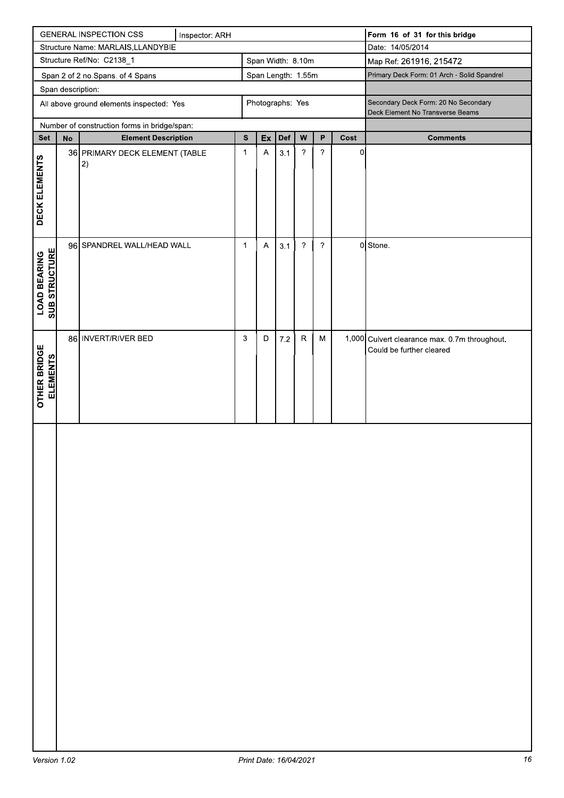| <b>GENERAL INSPECTION CSS</b><br>Inspector: ARH |                                          |                                              |  |              |             |                    |                          | Form 16 of 31 for this bridge |                |                                                                           |
|-------------------------------------------------|------------------------------------------|----------------------------------------------|--|--------------|-------------|--------------------|--------------------------|-------------------------------|----------------|---------------------------------------------------------------------------|
| Structure Name: MARLAIS, LLANDYBIE              |                                          |                                              |  |              |             |                    |                          | Date: 14/05/2014              |                |                                                                           |
| Structure Ref/No: C2138_1<br>Span Width: 8.10m  |                                          |                                              |  |              |             |                    | Map Ref: 261916, 215472  |                               |                |                                                                           |
|                                                 | Span 2 of 2 no.Spans. of 4 Spans         |                                              |  |              |             | Span Length: 1.55m |                          |                               |                | Primary Deck Form: 01 Arch - Solid Spandrel                               |
|                                                 | Span description:                        |                                              |  |              |             |                    |                          |                               |                |                                                                           |
|                                                 | All above ground elements inspected: Yes |                                              |  |              |             | Photographs: Yes   |                          |                               |                | Secondary Deck Form: 20 No Secondary<br>Deck Element No Transverse Beams  |
|                                                 |                                          | Number of construction forms in bridge/span: |  |              |             |                    |                          |                               |                |                                                                           |
| <b>Set</b>                                      | ${\sf No}$                               | <b>Element Description</b>                   |  | ${\bf s}$    | Ex          | Def                | W                        | P                             | Cost           | <b>Comments</b>                                                           |
| DECK ELEMENTS                                   |                                          | 36 PRIMARY DECK ELEMENT (TABLE<br> 2)        |  | $\mathbf{1}$ | $\mathsf A$ | 3.1                | $\boldsymbol{?}$         | $\boldsymbol{\mathcal{P}}$    | $\overline{0}$ |                                                                           |
| <b>SUB STRUCTURE</b><br><b>LOAD BEARING</b>     |                                          | 96 SPANDREL WALL/HEAD WALL                   |  | $\mathbf{1}$ | A           | 3.1                | $\overline{\phantom{a}}$ | $\overline{\phantom{0}}$      |                | 0 Stone.                                                                  |
| <b>OTHER BRIDGE</b><br><b>ELEMENTS</b>          |                                          | 86 INVERT/RIVER BED                          |  | 3            | D           | $7.2\,$            | ${\sf R}$                | M                             |                | 1,000 Culvert clearance max. 0.7m throughout.<br>Could be further cleared |
|                                                 |                                          |                                              |  |              |             |                    |                          |                               |                |                                                                           |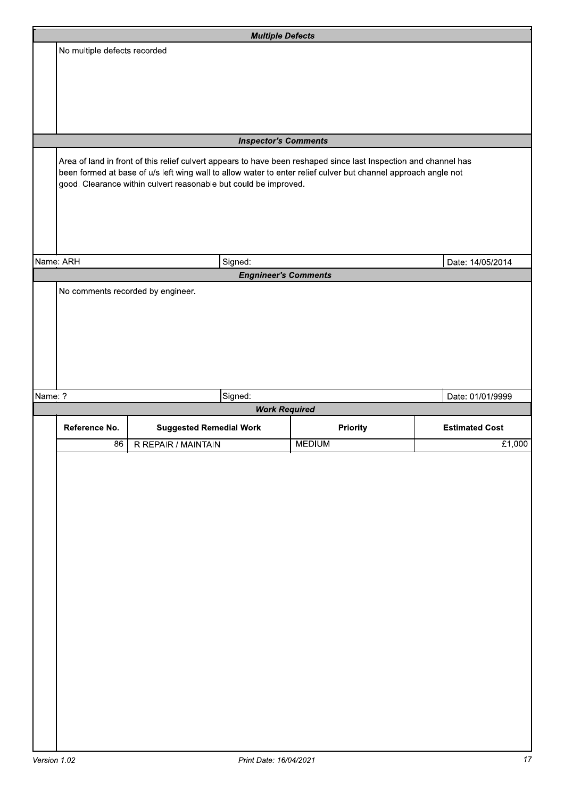|         |                                   | <b>Multiple Defects</b>                                                                                                                                                                                                            |               |                       |
|---------|-----------------------------------|------------------------------------------------------------------------------------------------------------------------------------------------------------------------------------------------------------------------------------|---------------|-----------------------|
|         | No multiple defects recorded      |                                                                                                                                                                                                                                    |               |                       |
|         |                                   |                                                                                                                                                                                                                                    |               |                       |
|         |                                   |                                                                                                                                                                                                                                    |               |                       |
|         |                                   |                                                                                                                                                                                                                                    |               |                       |
|         |                                   |                                                                                                                                                                                                                                    |               |                       |
|         |                                   |                                                                                                                                                                                                                                    |               |                       |
|         |                                   | <b>Inspector's Comments</b>                                                                                                                                                                                                        |               |                       |
|         |                                   | Area of land in front of this relief culvert appears to have been reshaped since last Inspection and channel has<br>been formed at base of u/s left wing wall to allow water to enter relief culver but channel approach angle not |               |                       |
|         |                                   | good. Clearance within culvert reasonable but could be improved.                                                                                                                                                                   |               |                       |
|         |                                   |                                                                                                                                                                                                                                    |               |                       |
|         |                                   |                                                                                                                                                                                                                                    |               |                       |
|         |                                   |                                                                                                                                                                                                                                    |               |                       |
|         |                                   |                                                                                                                                                                                                                                    |               |                       |
|         | Name: ARH                         | Signed:                                                                                                                                                                                                                            |               | Date: 14/05/2014      |
|         |                                   | <b>Engnineer's Comments</b>                                                                                                                                                                                                        |               |                       |
|         | No comments recorded by engineer. |                                                                                                                                                                                                                                    |               |                       |
|         |                                   |                                                                                                                                                                                                                                    |               |                       |
|         |                                   |                                                                                                                                                                                                                                    |               |                       |
|         |                                   |                                                                                                                                                                                                                                    |               |                       |
|         |                                   |                                                                                                                                                                                                                                    |               |                       |
|         |                                   |                                                                                                                                                                                                                                    |               |                       |
| Name: ? |                                   | Signed:                                                                                                                                                                                                                            |               | Date: 01/01/9999      |
|         |                                   | <b>Work Required</b>                                                                                                                                                                                                               |               |                       |
|         | Reference No.                     | <b>Suggested Remedial Work</b>                                                                                                                                                                                                     | Priority      | <b>Estimated Cost</b> |
|         | 86                                | R REPAIR / MAINTAIN                                                                                                                                                                                                                | <b>MEDIUM</b> | £1,000                |
|         |                                   |                                                                                                                                                                                                                                    |               |                       |
|         |                                   |                                                                                                                                                                                                                                    |               |                       |
|         |                                   |                                                                                                                                                                                                                                    |               |                       |
|         |                                   |                                                                                                                                                                                                                                    |               |                       |
|         |                                   |                                                                                                                                                                                                                                    |               |                       |
|         |                                   |                                                                                                                                                                                                                                    |               |                       |
|         |                                   |                                                                                                                                                                                                                                    |               |                       |
|         |                                   |                                                                                                                                                                                                                                    |               |                       |
|         |                                   |                                                                                                                                                                                                                                    |               |                       |
|         |                                   |                                                                                                                                                                                                                                    |               |                       |
|         |                                   |                                                                                                                                                                                                                                    |               |                       |
|         |                                   |                                                                                                                                                                                                                                    |               |                       |
|         |                                   |                                                                                                                                                                                                                                    |               |                       |
|         |                                   |                                                                                                                                                                                                                                    |               |                       |
|         |                                   |                                                                                                                                                                                                                                    |               |                       |
|         |                                   |                                                                                                                                                                                                                                    |               |                       |
|         |                                   |                                                                                                                                                                                                                                    |               |                       |
|         |                                   |                                                                                                                                                                                                                                    |               |                       |
|         |                                   |                                                                                                                                                                                                                                    |               |                       |
|         |                                   |                                                                                                                                                                                                                                    |               |                       |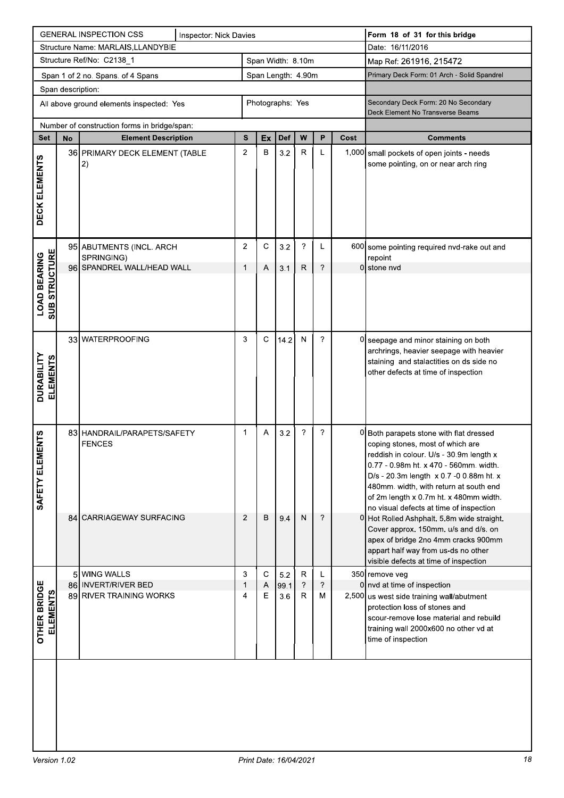|                                             | <b>GENERAL INSPECTION CSS</b><br>Inspector: Nick Davies      |                                                                          |  |                    |             |             |                         |                                                                          | Form 18 of 31 for this bridge |                                                                                                                                                                                                                                                                                                                                                                                          |
|---------------------------------------------|--------------------------------------------------------------|--------------------------------------------------------------------------|--|--------------------|-------------|-------------|-------------------------|--------------------------------------------------------------------------|-------------------------------|------------------------------------------------------------------------------------------------------------------------------------------------------------------------------------------------------------------------------------------------------------------------------------------------------------------------------------------------------------------------------------------|
|                                             | Structure Name: MARLAIS, LLANDYBIE                           |                                                                          |  |                    |             |             |                         |                                                                          |                               | Date: 16/11/2016                                                                                                                                                                                                                                                                                                                                                                         |
|                                             |                                                              | Structure Ref/No: C2138_1                                                |  | Span Width: 8.10m  |             |             |                         |                                                                          |                               | Map Ref: 261916, 215472                                                                                                                                                                                                                                                                                                                                                                  |
|                                             |                                                              | Span 1 of 2 no. Spans. of 4 Spans                                        |  | Span Length: 4.90m |             |             |                         |                                                                          |                               | Primary Deck Form: 01 Arch - Solid Spandrel                                                                                                                                                                                                                                                                                                                                              |
|                                             | Span description:                                            |                                                                          |  |                    |             |             |                         |                                                                          |                               |                                                                                                                                                                                                                                                                                                                                                                                          |
|                                             | Photographs: Yes<br>All above ground elements inspected: Yes |                                                                          |  |                    |             |             |                         | Secondary Deck Form: 20 No Secondary<br>Deck Element No Transverse Beams |                               |                                                                                                                                                                                                                                                                                                                                                                                          |
|                                             | Number of construction forms in bridge/span:                 |                                                                          |  |                    |             |             |                         |                                                                          |                               |                                                                                                                                                                                                                                                                                                                                                                                          |
| Set                                         | No                                                           | <b>Element Description</b>                                               |  | S                  | Ex          | <b>Def</b>  | W                       | P                                                                        | Cost                          | <b>Comments</b>                                                                                                                                                                                                                                                                                                                                                                          |
| DECK ELEMENTS                               |                                                              | 36 PRIMARY DECK ELEMENT (TABLE<br> 2)                                    |  | $\overline{2}$     | В           | 3.2         | $\mathsf R$             | L                                                                        |                               | 1,000 small pockets of open joints - needs<br>some pointing, on or near arch ring                                                                                                                                                                                                                                                                                                        |
|                                             |                                                              | 95 ABUTMENTS (INCL. ARCH                                                 |  | 2                  | С           | 3.2         | ?                       | L                                                                        |                               | 600 some pointing required nvd-rake out and                                                                                                                                                                                                                                                                                                                                              |
|                                             |                                                              | SPRINGING)<br>96 SPANDREL WALL/HEAD WALL                                 |  | 1                  | Α           | 3.1         | R                       | ?                                                                        |                               | repoint<br>0 stone nvd                                                                                                                                                                                                                                                                                                                                                                   |
| <b>SUB STRUCTURE</b><br><b>LOAD BEARING</b> |                                                              |                                                                          |  |                    |             |             |                         |                                                                          |                               |                                                                                                                                                                                                                                                                                                                                                                                          |
| <b>DURABILITY<br/>ELEMENTS</b>              |                                                              | 33 WATERPROOFING                                                         |  | 3                  | $\mathbf C$ | 14.2        | ${\sf N}$               | $\boldsymbol{\gamma}$                                                    |                               | 0 seepage and minor staining on both<br>archrings, heavier seepage with heavier<br>staining and stalactities on ds side no<br>other defects at time of inspection                                                                                                                                                                                                                        |
| <b>ENTS</b><br>ELEM<br>SAFETY               |                                                              | 83 HANDRAIL/PARAPETS/SAFETY<br><b>FENCES</b><br>84 CARRIAGEWAY SURFACING |  | $\mathbf{1}$<br>2  | Α<br>в      | 3.2<br>9.4  | $\gamma$<br>N           | $\gamma$<br>$\overline{\phantom{a}}$                                     |                               | 0 Both parapets stone with flat dressed<br>coping stones, most of which are<br>reddish in colour. U/s - 30.9m length x<br>0.77 - 0.98m ht. x 470 - 560mm. width.<br>D/s - 20.3m length x 0.7 -0 0.88m ht. x<br>480mm. width, with return at south end<br>of 2m length x 0.7m ht. x 480mm width.<br>no visual defects at time of inspection<br>0 Hot Rolled Ashphalt. 5.8m wide straight. |
|                                             |                                                              |                                                                          |  |                    |             |             |                         |                                                                          |                               | Cover approx. 150mm. u/s and d/s. on<br>apex of bridge 2no 4mm cracks 900mm<br>appart half way from us-ds no other<br>visible defects at time of inspection                                                                                                                                                                                                                              |
|                                             |                                                              | 5 WING WALLS                                                             |  | 3                  | $\mathbf C$ | 5.2         | R                       | L                                                                        |                               | 350 remove veg                                                                                                                                                                                                                                                                                                                                                                           |
|                                             |                                                              | 86 INVERT/RIVER BED<br>89 RIVER TRAINING WORKS                           |  | 1<br>4             | Α<br>Ε      | 99.1<br>3.6 | $\overline{\cdot}$<br>R | ?<br>м                                                                   |                               | $0$ nvd at time of inspection<br>2,500 us west side training wall/abutment                                                                                                                                                                                                                                                                                                               |
| <b>OTHER BRIDGE</b><br><b>ELEMENTS</b>      |                                                              |                                                                          |  |                    |             |             |                         |                                                                          |                               | protection loss of stones and<br>scour-remove lose material and rebuild<br>training wall 2000x600 no other vd at<br>time of inspection                                                                                                                                                                                                                                                   |
|                                             |                                                              |                                                                          |  |                    |             |             |                         |                                                                          |                               |                                                                                                                                                                                                                                                                                                                                                                                          |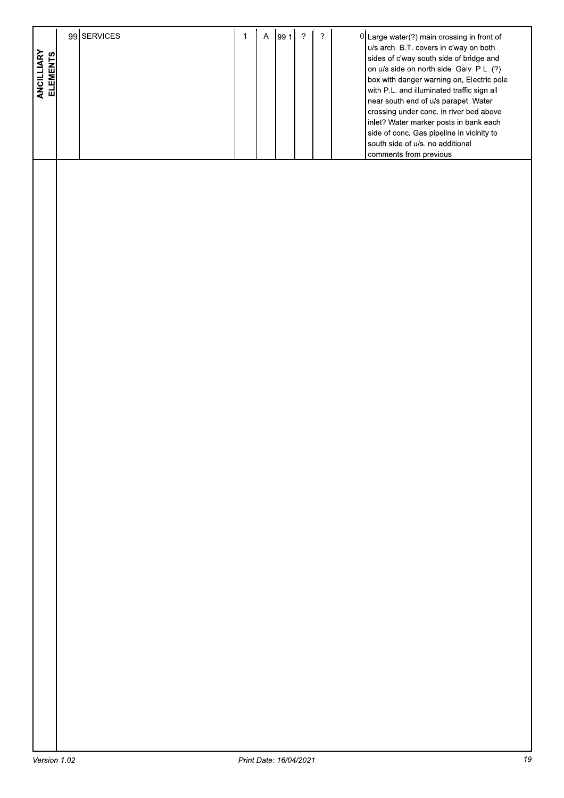| u/s arch. B.T. covers in c'way on both<br>ANCILLIARY<br>ELEMENTS<br>sides of c'way south side of bridge and<br>on u/s side on north side. Galv. P.L. (?)<br>box with danger warning on, Electric pole<br>with P.L. and illuminated traffic sign all<br>near south end of u/s parapet. Water<br>crossing under conc. in river bed above<br>inlet? Water marker posts in bank each<br>side of conc. Gas pipeline in vicinity to<br>south side of u/s. no additional<br>comments from previous |  |
|---------------------------------------------------------------------------------------------------------------------------------------------------------------------------------------------------------------------------------------------------------------------------------------------------------------------------------------------------------------------------------------------------------------------------------------------------------------------------------------------|--|
|                                                                                                                                                                                                                                                                                                                                                                                                                                                                                             |  |
|                                                                                                                                                                                                                                                                                                                                                                                                                                                                                             |  |
|                                                                                                                                                                                                                                                                                                                                                                                                                                                                                             |  |
|                                                                                                                                                                                                                                                                                                                                                                                                                                                                                             |  |
|                                                                                                                                                                                                                                                                                                                                                                                                                                                                                             |  |
|                                                                                                                                                                                                                                                                                                                                                                                                                                                                                             |  |
|                                                                                                                                                                                                                                                                                                                                                                                                                                                                                             |  |
|                                                                                                                                                                                                                                                                                                                                                                                                                                                                                             |  |
|                                                                                                                                                                                                                                                                                                                                                                                                                                                                                             |  |
|                                                                                                                                                                                                                                                                                                                                                                                                                                                                                             |  |
|                                                                                                                                                                                                                                                                                                                                                                                                                                                                                             |  |
|                                                                                                                                                                                                                                                                                                                                                                                                                                                                                             |  |
|                                                                                                                                                                                                                                                                                                                                                                                                                                                                                             |  |
|                                                                                                                                                                                                                                                                                                                                                                                                                                                                                             |  |
|                                                                                                                                                                                                                                                                                                                                                                                                                                                                                             |  |
|                                                                                                                                                                                                                                                                                                                                                                                                                                                                                             |  |
|                                                                                                                                                                                                                                                                                                                                                                                                                                                                                             |  |
|                                                                                                                                                                                                                                                                                                                                                                                                                                                                                             |  |
|                                                                                                                                                                                                                                                                                                                                                                                                                                                                                             |  |
|                                                                                                                                                                                                                                                                                                                                                                                                                                                                                             |  |
|                                                                                                                                                                                                                                                                                                                                                                                                                                                                                             |  |
|                                                                                                                                                                                                                                                                                                                                                                                                                                                                                             |  |
|                                                                                                                                                                                                                                                                                                                                                                                                                                                                                             |  |
|                                                                                                                                                                                                                                                                                                                                                                                                                                                                                             |  |
|                                                                                                                                                                                                                                                                                                                                                                                                                                                                                             |  |
|                                                                                                                                                                                                                                                                                                                                                                                                                                                                                             |  |
|                                                                                                                                                                                                                                                                                                                                                                                                                                                                                             |  |
|                                                                                                                                                                                                                                                                                                                                                                                                                                                                                             |  |
|                                                                                                                                                                                                                                                                                                                                                                                                                                                                                             |  |
|                                                                                                                                                                                                                                                                                                                                                                                                                                                                                             |  |
|                                                                                                                                                                                                                                                                                                                                                                                                                                                                                             |  |
|                                                                                                                                                                                                                                                                                                                                                                                                                                                                                             |  |
|                                                                                                                                                                                                                                                                                                                                                                                                                                                                                             |  |
|                                                                                                                                                                                                                                                                                                                                                                                                                                                                                             |  |
|                                                                                                                                                                                                                                                                                                                                                                                                                                                                                             |  |

T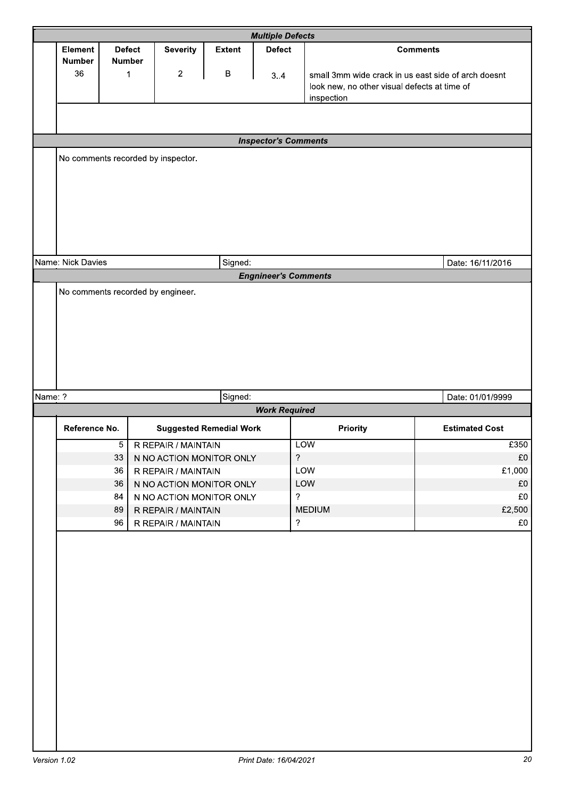|         |                   |                |                                    |                                | <b>Multiple Defects</b>     |                                                     |                       |
|---------|-------------------|----------------|------------------------------------|--------------------------------|-----------------------------|-----------------------------------------------------|-----------------------|
|         | <b>Element</b>    | <b>Defect</b>  | <b>Severity</b>                    | <b>Extent</b>                  | <b>Defect</b>               |                                                     | <b>Comments</b>       |
|         | <b>Number</b>     | <b>Number</b>  |                                    |                                |                             |                                                     |                       |
|         | 36                | 1              | $\overline{c}$                     | B                              | 3.4                         | small 3mm wide crack in us east side of arch doesnt |                       |
|         |                   |                |                                    |                                |                             | look new, no other visual defects at time of        |                       |
|         |                   |                |                                    |                                |                             | inspection                                          |                       |
|         |                   |                |                                    |                                |                             |                                                     |                       |
|         |                   |                |                                    |                                | <b>Inspector's Comments</b> |                                                     |                       |
|         |                   |                | No comments recorded by inspector. |                                |                             |                                                     |                       |
|         |                   |                |                                    |                                |                             |                                                     |                       |
|         |                   |                |                                    |                                |                             |                                                     |                       |
|         |                   |                |                                    |                                |                             |                                                     |                       |
|         |                   |                |                                    |                                |                             |                                                     |                       |
|         |                   |                |                                    |                                |                             |                                                     |                       |
|         |                   |                |                                    |                                |                             |                                                     |                       |
|         |                   |                |                                    |                                |                             |                                                     |                       |
|         | Name: Nick Davies |                |                                    | Signed:                        |                             |                                                     | Date: 16/11/2016      |
|         |                   |                |                                    |                                | <b>Engnineer's Comments</b> |                                                     |                       |
|         |                   |                | No comments recorded by engineer.  |                                |                             |                                                     |                       |
|         |                   |                |                                    |                                |                             |                                                     |                       |
|         |                   |                |                                    |                                |                             |                                                     |                       |
|         |                   |                |                                    |                                |                             |                                                     |                       |
|         |                   |                |                                    |                                |                             |                                                     |                       |
|         |                   |                |                                    |                                |                             |                                                     |                       |
|         |                   |                |                                    |                                |                             |                                                     |                       |
| Name: ? |                   |                |                                    | Signed:                        |                             |                                                     | Date: 01/01/9999      |
|         |                   |                |                                    |                                | <b>Work Required</b>        |                                                     |                       |
|         | Reference No.     |                |                                    | <b>Suggested Remedial Work</b> |                             | Priority                                            | <b>Estimated Cost</b> |
|         |                   | $\overline{5}$ | R REPAIR / MAINTAIN                |                                |                             | <b>LOW</b>                                          | £350                  |
|         |                   | 33             | N NO ACTION MONITOR ONLY           |                                | $\overline{?}$              |                                                     | £0                    |
|         |                   | 36             | R REPAIR / MAINTAIN                |                                |                             | LOW                                                 | £1,000                |
|         |                   | 36             | N NO ACTION MONITOR ONLY           |                                |                             | LOW                                                 | £0                    |
|         |                   | 84             | N NO ACTION MONITOR ONLY           |                                | $\overline{?}$              |                                                     | £0                    |
|         |                   | 89             | R REPAIR / MAINTAIN                |                                |                             | <b>MEDIUM</b>                                       | £2,500                |
|         |                   | 96             | R REPAIR / MAINTAIN                |                                | $\overline{?}$              |                                                     | £0                    |
|         |                   |                |                                    |                                |                             |                                                     |                       |
|         |                   |                |                                    |                                |                             |                                                     |                       |
|         |                   |                |                                    |                                |                             |                                                     |                       |
|         |                   |                |                                    |                                |                             |                                                     |                       |
|         |                   |                |                                    |                                |                             |                                                     |                       |
|         |                   |                |                                    |                                |                             |                                                     |                       |
|         |                   |                |                                    |                                |                             |                                                     |                       |
|         |                   |                |                                    |                                |                             |                                                     |                       |
|         |                   |                |                                    |                                |                             |                                                     |                       |
|         |                   |                |                                    |                                |                             |                                                     |                       |
|         |                   |                |                                    |                                |                             |                                                     |                       |
|         |                   |                |                                    |                                |                             |                                                     |                       |
|         |                   |                |                                    |                                |                             |                                                     |                       |
|         |                   |                |                                    |                                |                             |                                                     |                       |
|         |                   |                |                                    |                                |                             |                                                     |                       |
|         |                   |                |                                    |                                |                             |                                                     |                       |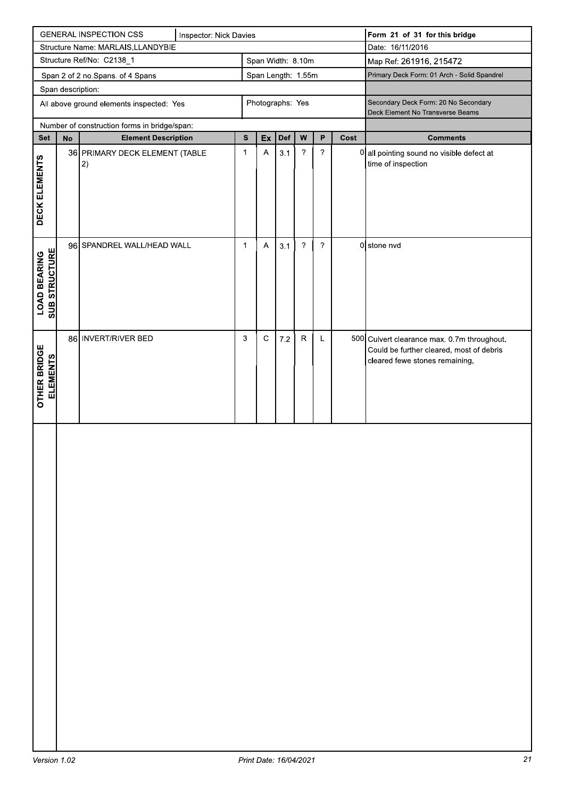|                                        |                   | <b>GENERAL INSPECTION CSS</b>                | Inspector: Nick Davies |                   |                           |         |                            |                       |      | Form 21 of 31 for this bridge                                                                                             |
|----------------------------------------|-------------------|----------------------------------------------|------------------------|-------------------|---------------------------|---------|----------------------------|-----------------------|------|---------------------------------------------------------------------------------------------------------------------------|
|                                        |                   | Structure Name: MARLAIS, LLANDYBIE           |                        |                   |                           |         |                            |                       |      | Date: 16/11/2016                                                                                                          |
|                                        |                   | Structure Ref/No: C2138_1                    |                        | Span Width: 8.10m |                           |         | Map Ref: 261916, 215472    |                       |      |                                                                                                                           |
|                                        |                   | Span 2 of 2 no.Spans. of 4 Spans             |                        |                   | Span Length: 1.55m        |         |                            |                       |      | Primary Deck Form: 01 Arch - Solid Spandrel                                                                               |
|                                        | Span description: |                                              |                        |                   |                           |         |                            |                       |      |                                                                                                                           |
|                                        |                   | All above ground elements inspected: Yes     |                        |                   | Photographs: Yes          |         |                            |                       |      | Secondary Deck Form: 20 No Secondary<br>Deck Element No Transverse Beams                                                  |
|                                        |                   | Number of construction forms in bridge/span: |                        |                   |                           |         |                            |                       |      |                                                                                                                           |
| Set                                    | $\mathsf{No}$     | <b>Element Description</b>                   |                        | ${\bf s}$         | Ex                        | Def     | ${\bf W}$                  | P                     | Cost | <b>Comments</b>                                                                                                           |
| DECK ELEMENTS                          |                   | 36 PRIMARY DECK ELEMENT (TABLE<br> 2)        |                        | $\mathbf{1}$      | $\boldsymbol{\mathsf{A}}$ | 3.1     | $\boldsymbol{?}$           | $\boldsymbol{\gamma}$ |      | 0 all pointing sound no visible defect at<br>time of inspection                                                           |
| <b>LOAD BEARING<br/>SUB STRUCTURE</b>  |                   | 96 SPANDREL WALL/HEAD WALL                   |                        | 1                 | $\boldsymbol{\mathsf{A}}$ | 3.1     | $\boldsymbol{\mathcal{P}}$ | ?                     |      | 0 stone nvd                                                                                                               |
| <b>OTHER BRIDGE</b><br><b>ELEMENTS</b> |                   | 86 INVERT/RIVER BED                          |                        | 3                 | $\mathsf C$               | $7.2\,$ | ${\sf R}$                  | L                     |      | 500 Culvert clearance max. 0.7m throughout.<br>Could be further cleared, most of debris<br>cleared fewe stones remaining, |
|                                        |                   |                                              |                        |                   |                           |         |                            |                       |      |                                                                                                                           |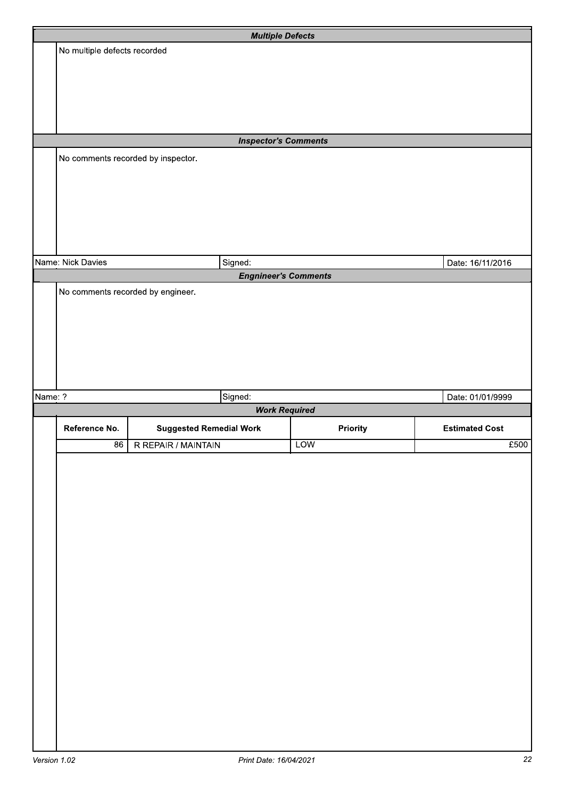|         |                                   | <b>Multiple Defects</b>            |            |                       |
|---------|-----------------------------------|------------------------------------|------------|-----------------------|
|         | No multiple defects recorded      |                                    |            |                       |
|         |                                   |                                    |            |                       |
|         |                                   |                                    |            |                       |
|         |                                   |                                    |            |                       |
|         |                                   |                                    |            |                       |
|         |                                   | <b>Inspector's Comments</b>        |            |                       |
|         |                                   | No comments recorded by inspector. |            |                       |
|         |                                   |                                    |            |                       |
|         |                                   |                                    |            |                       |
|         |                                   |                                    |            |                       |
|         |                                   |                                    |            |                       |
|         |                                   |                                    |            |                       |
|         | Name: Nick Davies                 | Signed:                            |            | Date: 16/11/2016      |
|         |                                   | <b>Engnineer's Comments</b>        |            |                       |
|         | No comments recorded by engineer. |                                    |            |                       |
|         |                                   |                                    |            |                       |
|         |                                   |                                    |            |                       |
|         |                                   |                                    |            |                       |
|         |                                   |                                    |            |                       |
|         |                                   |                                    |            |                       |
| Name: ? |                                   | Signed:                            |            | Date: 01/01/9999      |
|         |                                   | <b>Work Required</b>               |            |                       |
|         | Reference No.                     | <b>Suggested Remedial Work</b>     | Priority   | <b>Estimated Cost</b> |
|         | $\frac{86}{ }$                    | R REPAIR / MAINTAIN                | <b>LOW</b> | £500                  |
|         |                                   |                                    |            |                       |
|         |                                   |                                    |            |                       |
|         |                                   |                                    |            |                       |
|         |                                   |                                    |            |                       |
|         |                                   |                                    |            |                       |
|         |                                   |                                    |            |                       |
|         |                                   |                                    |            |                       |
|         |                                   |                                    |            |                       |
|         |                                   |                                    |            |                       |
|         |                                   |                                    |            |                       |
|         |                                   |                                    |            |                       |
|         |                                   |                                    |            |                       |
|         |                                   |                                    |            |                       |
|         |                                   |                                    |            |                       |
|         |                                   |                                    |            |                       |
|         |                                   |                                    |            |                       |
|         |                                   |                                    |            |                       |
|         |                                   |                                    |            |                       |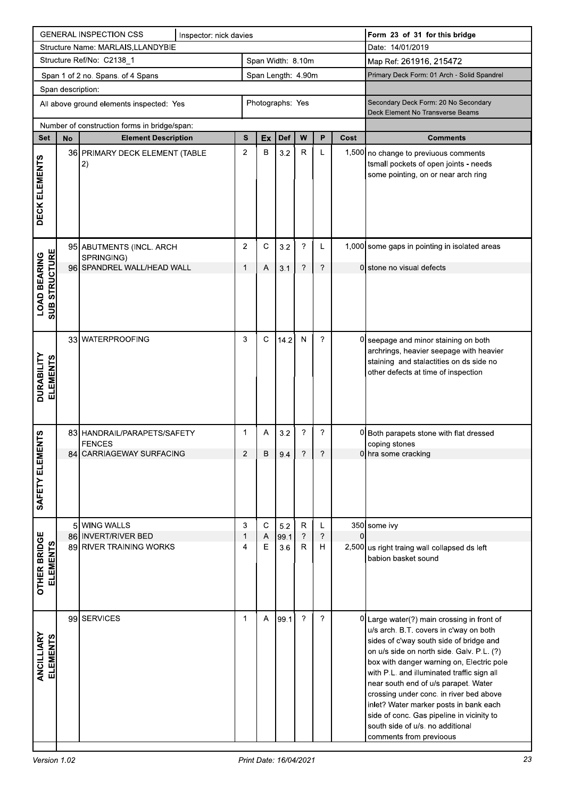|                                             |                   | <b>GENERAL INSPECTION CSS</b>                  | Inspector: nick davies |                |             |                    |                           |               |      | Form 23 of 31 for this bridge                                                                                                                                                                                                                                                                                                                                                                                                                                                                                    |
|---------------------------------------------|-------------------|------------------------------------------------|------------------------|----------------|-------------|--------------------|---------------------------|---------------|------|------------------------------------------------------------------------------------------------------------------------------------------------------------------------------------------------------------------------------------------------------------------------------------------------------------------------------------------------------------------------------------------------------------------------------------------------------------------------------------------------------------------|
|                                             |                   | Structure Name: MARLAIS, LLANDYBIE             |                        |                |             |                    |                           |               |      | Date: 14/01/2019                                                                                                                                                                                                                                                                                                                                                                                                                                                                                                 |
|                                             |                   | Structure Ref/No: C2138_1                      |                        |                |             | Span Width: 8.10m  |                           |               |      | Map Ref: 261916, 215472                                                                                                                                                                                                                                                                                                                                                                                                                                                                                          |
|                                             |                   | Span 1 of 2 no. Spans. of 4 Spans              |                        |                |             | Span Length: 4.90m |                           |               |      | Primary Deck Form: 01 Arch - Solid Spandrel                                                                                                                                                                                                                                                                                                                                                                                                                                                                      |
|                                             | Span description: |                                                |                        |                |             |                    |                           |               |      |                                                                                                                                                                                                                                                                                                                                                                                                                                                                                                                  |
|                                             |                   | All above ground elements inspected: Yes       |                        |                |             | Photographs: Yes   |                           |               |      | Secondary Deck Form: 20 No Secondary<br>Deck Element No Transverse Beams                                                                                                                                                                                                                                                                                                                                                                                                                                         |
|                                             |                   | Number of construction forms in bridge/span:   |                        |                |             |                    |                           |               |      |                                                                                                                                                                                                                                                                                                                                                                                                                                                                                                                  |
| Set                                         | <b>No</b>         | <b>Element Description</b>                     |                        | S              | Ex          | Def                | W                         | P             | Cost | <b>Comments</b>                                                                                                                                                                                                                                                                                                                                                                                                                                                                                                  |
| DECK ELEMENTS                               |                   | 36 PRIMARY DECK ELEMENT (TABLE<br> 2)          |                        | $\overline{2}$ | B           | 3.2                | $\mathsf{R}$              | L             |      | 1,500 no change to previuous comments<br>tsmall pockets of open joints - needs<br>some pointing, on or near arch ring                                                                                                                                                                                                                                                                                                                                                                                            |
|                                             |                   | 95 ABUTMENTS (INCL. ARCH                       |                        | 2              | C           | 3.2                | ?                         | L             |      | 1,000 some gaps in pointing in isolated areas                                                                                                                                                                                                                                                                                                                                                                                                                                                                    |
|                                             |                   | SPRINGING)<br>96 SPANDREL WALL/HEAD WALL       |                        | 1              | Α           | 3.1                | ?                         | ?             |      | 0 stone no visual defects                                                                                                                                                                                                                                                                                                                                                                                                                                                                                        |
| <b>SUB STRUCTURE</b><br><b>LOAD BEARING</b> |                   |                                                |                        |                |             |                    |                           |               |      |                                                                                                                                                                                                                                                                                                                                                                                                                                                                                                                  |
| DURABILITY<br><b>ELEMENTS</b>               |                   | 33 WATERPROOFING                               |                        | 3              | $\mathbf C$ | 14.2               | ${\sf N}$                 | ?             |      | 0 seepage and minor staining on both<br>archrings, heavier seepage with heavier<br>staining and stalactities on ds side no<br>other defects at time of inspection                                                                                                                                                                                                                                                                                                                                                |
| <b>ENTS</b>                                 |                   | 83 HANDRAIL/PARAPETS/SAFETY<br><b>FENCES</b>   |                        | $\mathbf{1}$   | A           | 3.2                | ?                         | ?             |      | 0 Both parapets stone with flat dressed<br>coping stones                                                                                                                                                                                                                                                                                                                                                                                                                                                         |
| SAFETY ELEM                                 |                   | 84 CARRIAGEWAY SURFACING                       |                        | $\overline{2}$ | $\,$ B      | 9.4                | $\overline{\mathcal{E}}$  | $\gamma$      |      | 0 hra some cracking                                                                                                                                                                                                                                                                                                                                                                                                                                                                                              |
|                                             | $5 \mid$          | <b>WING WALLS</b>                              |                        | 3              | $\mathbf C$ | 5.2                | $\mathsf R$               | Г             |      | 350 some ivy                                                                                                                                                                                                                                                                                                                                                                                                                                                                                                     |
| <b>OTHER BRIDGE</b><br><b>ELEMENTS</b>      |                   | 86 INVERT/RIVER BED<br>89 RIVER TRAINING WORKS |                        | 1<br>4         | Α<br>Ε      | 99.1<br>3.6        | $\ddot{\phantom{0}}$<br>R | $\gamma$<br>н | 0    | 2,500 us right traing wall collapsed ds left<br>babion basket sound                                                                                                                                                                                                                                                                                                                                                                                                                                              |
| ANCILLIARY<br><b>ELEMENTS</b>               |                   | 99 SERVICES                                    |                        | $\mathbf 1$    | A           | 99.1               | $\overline{?}$            | ?             |      | 0 Large water(?) main crossing in front of<br>u/s arch. B.T. covers in c'way on both<br>sides of c'way south side of bridge and<br>on u/s side on north side. Galv. P.L. (?)<br>box with danger warning on, Electric pole<br>with P.L. and illuminated traffic sign all<br>near south end of u/s parapet. Water<br>crossing under conc. in river bed above<br>inlet? Water marker posts in bank each<br>side of conc. Gas pipeline in vicinity to<br>south side of u/s. no additional<br>comments from previoous |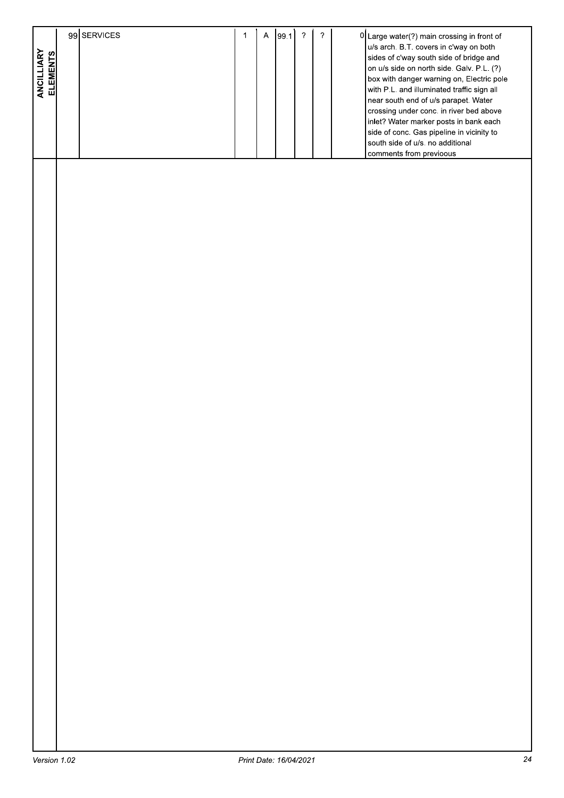| ANCILLIARY<br>ELEMENTS | 99 SERVICES | $\mathbf{1}$ | $\mathsf{A}$ | 99.1 | $\gamma$ | $\boldsymbol{\gamma}$ | 0 Large water(?) main crossing in front of<br>u/s arch. B.T. covers in c'way on both<br>sides of c'way south side of bridge and<br>on u/s side on north side. Galv. P.L. (?)<br>box with danger warning on, Electric pole<br>with P.L. and illuminated traffic sign all<br>near south end of u/s parapet. Water |
|------------------------|-------------|--------------|--------------|------|----------|-----------------------|-----------------------------------------------------------------------------------------------------------------------------------------------------------------------------------------------------------------------------------------------------------------------------------------------------------------|
|                        |             |              |              |      |          |                       | crossing under conc. in river bed above<br>inlet? Water marker posts in bank each<br>side of conc. Gas pipeline in vicinity to<br>south side of u/s. no additional<br>comments from previoous                                                                                                                   |
|                        |             |              |              |      |          |                       |                                                                                                                                                                                                                                                                                                                 |
|                        |             |              |              |      |          |                       |                                                                                                                                                                                                                                                                                                                 |
|                        |             |              |              |      |          |                       |                                                                                                                                                                                                                                                                                                                 |
|                        |             |              |              |      |          |                       |                                                                                                                                                                                                                                                                                                                 |
|                        |             |              |              |      |          |                       |                                                                                                                                                                                                                                                                                                                 |
|                        |             |              |              |      |          |                       |                                                                                                                                                                                                                                                                                                                 |
|                        |             |              |              |      |          |                       |                                                                                                                                                                                                                                                                                                                 |
|                        |             |              |              |      |          |                       |                                                                                                                                                                                                                                                                                                                 |
|                        |             |              |              |      |          |                       |                                                                                                                                                                                                                                                                                                                 |
|                        |             |              |              |      |          |                       |                                                                                                                                                                                                                                                                                                                 |
|                        |             |              |              |      |          |                       |                                                                                                                                                                                                                                                                                                                 |
|                        |             |              |              |      |          |                       |                                                                                                                                                                                                                                                                                                                 |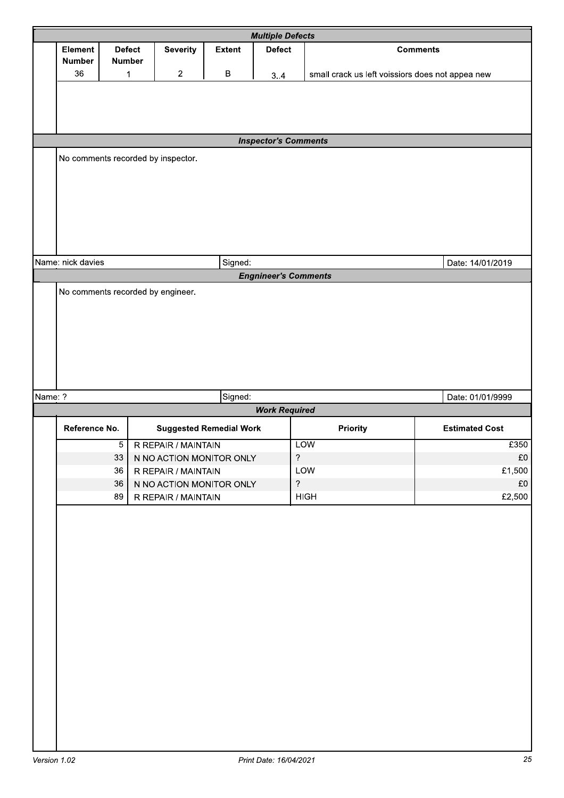|         |                                 |                                   |                                                 |                                | <b>Multiple Defects</b>     |                                                  |                       |  |  |
|---------|---------------------------------|-----------------------------------|-------------------------------------------------|--------------------------------|-----------------------------|--------------------------------------------------|-----------------------|--|--|
|         | <b>Element</b><br><b>Number</b> | <b>Defect</b><br><b>Number</b>    | <b>Severity</b>                                 | <b>Extent</b>                  | <b>Defect</b>               |                                                  | <b>Comments</b>       |  |  |
|         | 36                              | 1                                 | $\overline{2}$                                  | B                              | 3.4                         | small crack us left voissiors does not appea new |                       |  |  |
|         |                                 |                                   |                                                 |                                |                             |                                                  |                       |  |  |
|         |                                 |                                   |                                                 |                                |                             |                                                  |                       |  |  |
|         | <b>Inspector's Comments</b>     |                                   |                                                 |                                |                             |                                                  |                       |  |  |
|         |                                 |                                   | No comments recorded by inspector.              |                                |                             |                                                  |                       |  |  |
|         |                                 |                                   |                                                 |                                |                             |                                                  |                       |  |  |
|         |                                 |                                   |                                                 |                                |                             |                                                  |                       |  |  |
|         |                                 |                                   |                                                 |                                |                             |                                                  |                       |  |  |
|         |                                 |                                   |                                                 |                                |                             |                                                  |                       |  |  |
|         | Name: nick davies               |                                   |                                                 | Signed:                        |                             |                                                  | Date: 14/01/2019      |  |  |
|         |                                 |                                   |                                                 |                                | <b>Engnineer's Comments</b> |                                                  |                       |  |  |
|         |                                 | No comments recorded by engineer. |                                                 |                                |                             |                                                  |                       |  |  |
|         |                                 |                                   |                                                 |                                |                             |                                                  |                       |  |  |
|         |                                 |                                   |                                                 |                                |                             |                                                  |                       |  |  |
|         |                                 |                                   |                                                 |                                |                             |                                                  |                       |  |  |
|         |                                 |                                   |                                                 |                                |                             |                                                  |                       |  |  |
|         |                                 |                                   |                                                 |                                |                             |                                                  |                       |  |  |
| Name: ? |                                 |                                   |                                                 | Signed:                        | <b>Work Required</b>        |                                                  | Date: 01/01/9999      |  |  |
|         | Reference No.                   |                                   |                                                 | <b>Suggested Remedial Work</b> |                             | Priority                                         | <b>Estimated Cost</b> |  |  |
|         |                                 | $\overline{5}$                    | R REPAIR / MAINTAIN                             |                                |                             | <b>LOW</b>                                       | £350                  |  |  |
|         |                                 | 33<br>36                          | N NO ACTION MONITOR ONLY<br>R REPAIR / MAINTAIN |                                | $\overline{\phantom{a}}$    | LOW                                              | £0<br>£1,500          |  |  |
|         |                                 | 36                                | N NO ACTION MONITOR ONLY                        |                                | $\overline{?}$              |                                                  | £0                    |  |  |
|         |                                 | 89                                | R REPAIR / MAINTAIN                             |                                |                             | <b>HIGH</b>                                      | £2,500                |  |  |
|         |                                 |                                   |                                                 |                                |                             |                                                  |                       |  |  |
|         |                                 |                                   |                                                 |                                |                             |                                                  |                       |  |  |
|         |                                 |                                   |                                                 |                                |                             |                                                  |                       |  |  |
|         |                                 |                                   |                                                 |                                |                             |                                                  |                       |  |  |
|         |                                 |                                   |                                                 |                                |                             |                                                  |                       |  |  |
|         |                                 |                                   |                                                 |                                |                             |                                                  |                       |  |  |
|         |                                 |                                   |                                                 |                                |                             |                                                  |                       |  |  |
|         |                                 |                                   |                                                 |                                |                             |                                                  |                       |  |  |
|         |                                 |                                   |                                                 |                                |                             |                                                  |                       |  |  |
|         |                                 |                                   |                                                 |                                |                             |                                                  |                       |  |  |
|         |                                 |                                   |                                                 |                                |                             |                                                  |                       |  |  |
|         |                                 |                                   |                                                 |                                |                             |                                                  |                       |  |  |
|         |                                 |                                   |                                                 |                                |                             |                                                  |                       |  |  |
|         |                                 |                                   |                                                 |                                |                             |                                                  |                       |  |  |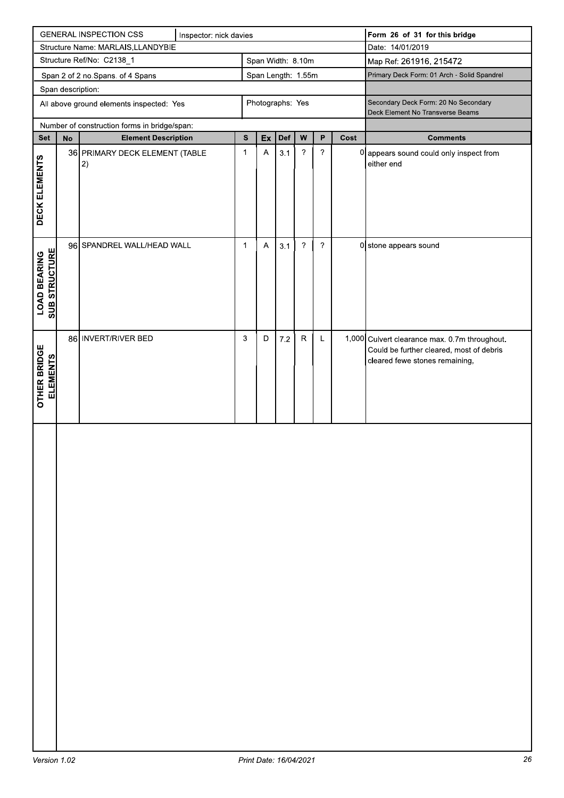|                                                                      |                   | <b>GENERAL INSPECTION CSS</b>                | Inspector: nick davies |              |                           |         |                            |                  |      | Form 26 of 31 for this bridge                                                                                               |
|----------------------------------------------------------------------|-------------------|----------------------------------------------|------------------------|--------------|---------------------------|---------|----------------------------|------------------|------|-----------------------------------------------------------------------------------------------------------------------------|
|                                                                      |                   | Structure Name: MARLAIS, LLANDYBIE           |                        |              |                           |         |                            |                  |      | Date: 14/01/2019                                                                                                            |
| Structure Ref/No: C2138_1<br>Span Width: 8.10m<br>Span Length: 1.55m |                   |                                              |                        |              |                           |         |                            |                  |      | Map Ref: 261916, 215472                                                                                                     |
|                                                                      |                   | Span 2 of 2 no.Spans. of 4 Spans             |                        |              |                           |         |                            |                  |      | Primary Deck Form: 01 Arch - Solid Spandrel                                                                                 |
|                                                                      | Span description: |                                              |                        |              |                           |         |                            |                  |      |                                                                                                                             |
|                                                                      |                   | All above ground elements inspected: Yes     |                        |              | Photographs: Yes          |         |                            |                  |      | Secondary Deck Form: 20 No Secondary<br>Deck Element No Transverse Beams                                                    |
|                                                                      |                   | Number of construction forms in bridge/span: |                        |              |                           |         |                            |                  |      |                                                                                                                             |
| Set                                                                  | $\mathsf{No}$     | <b>Element Description</b>                   |                        | ${\bf s}$    | Ex                        | Def     | W                          | $\mathsf{P}$     | Cost | <b>Comments</b>                                                                                                             |
| DECK ELEMENTS                                                        |                   | 36 PRIMARY DECK ELEMENT (TABLE<br> 2)        |                        | $\mathbf{1}$ | $\boldsymbol{\mathsf{A}}$ | 3.1     | $\boldsymbol{?}$           | $\boldsymbol{?}$ |      | 0 appears sound could only inspect from<br>either end                                                                       |
| <b>LOAD BEARING<br/>SUB STRUCTURE</b>                                |                   | 96 SPANDREL WALL/HEAD WALL                   |                        | 1            | $\boldsymbol{\mathsf{A}}$ | 3.1     | $\boldsymbol{\mathcal{P}}$ | ?                |      | 0 stone appears sound                                                                                                       |
| <b>OTHER BRIDGE</b><br><b>ELEMENTS</b>                               |                   | 86 INVERT/RIVER BED                          |                        | 3            | D                         | $7.2\,$ | ${\sf R}$                  | L                |      | 1,000 Culvert clearance max. 0.7m throughout.<br>Could be further cleared, most of debris<br>cleared fewe stones remaining, |
|                                                                      |                   |                                              |                        |              |                           |         |                            |                  |      |                                                                                                                             |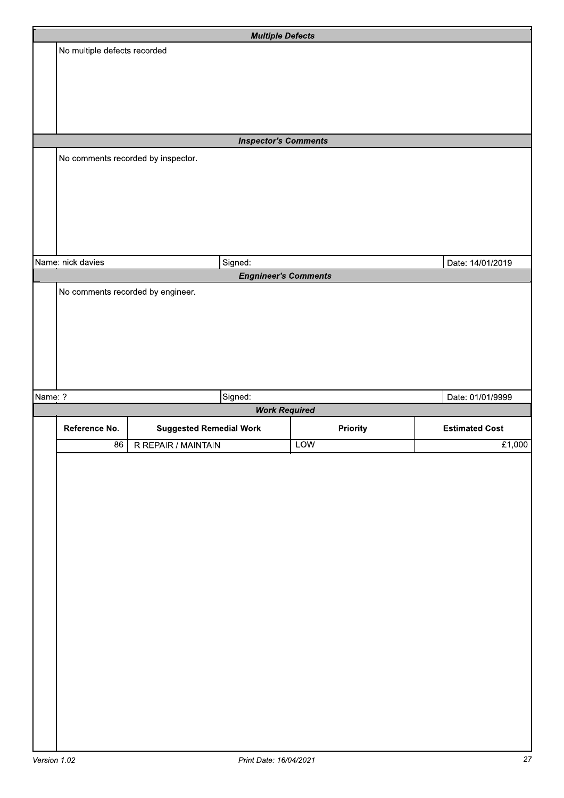|         |                                    | <b>Multiple Defects</b>        |                             |                       |
|---------|------------------------------------|--------------------------------|-----------------------------|-----------------------|
|         | No multiple defects recorded       |                                |                             |                       |
|         |                                    |                                |                             |                       |
|         |                                    |                                |                             |                       |
|         |                                    |                                |                             |                       |
|         |                                    |                                |                             |                       |
|         |                                    |                                |                             |                       |
|         |                                    | <b>Inspector's Comments</b>    |                             |                       |
|         | No comments recorded by inspector. |                                |                             |                       |
|         |                                    |                                |                             |                       |
|         |                                    |                                |                             |                       |
|         |                                    |                                |                             |                       |
|         |                                    |                                |                             |                       |
|         |                                    |                                |                             |                       |
|         | Name: nick davies                  | Signed:                        |                             | Date: 14/01/2019      |
|         |                                    |                                | <b>Engnineer's Comments</b> |                       |
|         | No comments recorded by engineer.  |                                |                             |                       |
|         |                                    |                                |                             |                       |
|         |                                    |                                |                             |                       |
|         |                                    |                                |                             |                       |
|         |                                    |                                |                             |                       |
|         |                                    |                                |                             |                       |
| Name: ? |                                    | Signed:                        |                             | Date: 01/01/9999      |
|         |                                    |                                | <b>Work Required</b>        |                       |
|         |                                    |                                |                             |                       |
|         | Reference No.                      | <b>Suggested Remedial Work</b> | Priority                    | <b>Estimated Cost</b> |
|         | 86                                 | R REPAIR / MAINTAIN            | <b>LOW</b>                  | £1,000                |
|         |                                    |                                |                             |                       |
|         |                                    |                                |                             |                       |
|         |                                    |                                |                             |                       |
|         |                                    |                                |                             |                       |
|         |                                    |                                |                             |                       |
|         |                                    |                                |                             |                       |
|         |                                    |                                |                             |                       |
|         |                                    |                                |                             |                       |
|         |                                    |                                |                             |                       |
|         |                                    |                                |                             |                       |
|         |                                    |                                |                             |                       |
|         |                                    |                                |                             |                       |
|         |                                    |                                |                             |                       |
|         |                                    |                                |                             |                       |
|         |                                    |                                |                             |                       |
|         |                                    |                                |                             |                       |
|         |                                    |                                |                             |                       |
|         |                                    |                                |                             |                       |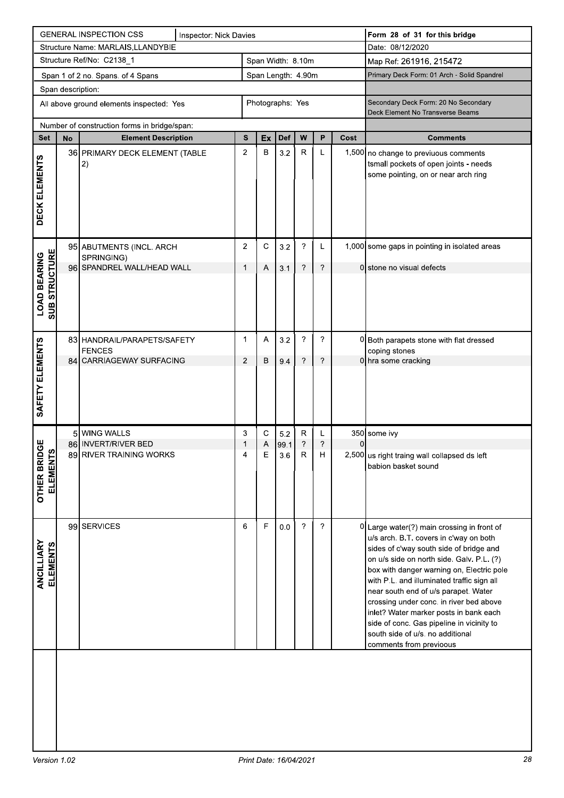|                                             |                   | <b>GENERAL INSPECTION CSS</b>                                              | <b>Inspector: Nick Davies</b> |                |                    |             |                           |                  |                | Form 28 of 31 for this bridge                                                                                                                                                                                                                                                                                                                                                                                                                                                                                    |
|---------------------------------------------|-------------------|----------------------------------------------------------------------------|-------------------------------|----------------|--------------------|-------------|---------------------------|------------------|----------------|------------------------------------------------------------------------------------------------------------------------------------------------------------------------------------------------------------------------------------------------------------------------------------------------------------------------------------------------------------------------------------------------------------------------------------------------------------------------------------------------------------------|
|                                             |                   | Structure Name: MARLAIS, LLANDYBIE                                         |                               |                |                    |             |                           |                  |                | Date: 08/12/2020                                                                                                                                                                                                                                                                                                                                                                                                                                                                                                 |
|                                             |                   | Structure Ref/No: C2138_1                                                  |                               |                | Span Width: 8.10m  |             |                           |                  |                | Map Ref: 261916, 215472                                                                                                                                                                                                                                                                                                                                                                                                                                                                                          |
|                                             |                   | Span 1 of 2 no. Spans. of 4 Spans                                          |                               |                | Span Length: 4.90m |             |                           |                  |                | Primary Deck Form: 01 Arch - Solid Spandrel                                                                                                                                                                                                                                                                                                                                                                                                                                                                      |
|                                             | Span description: | All above ground elements inspected: Yes                                   |                               |                | Photographs: Yes   |             |                           |                  |                | Secondary Deck Form: 20 No Secondary<br>Deck Element No Transverse Beams                                                                                                                                                                                                                                                                                                                                                                                                                                         |
| <b>Set</b>                                  | No                | Number of construction forms in bridge/span:<br><b>Element Description</b> |                               | S              | Ex                 | <b>Def</b>  | W                         | P                | Cost           | <b>Comments</b>                                                                                                                                                                                                                                                                                                                                                                                                                                                                                                  |
|                                             |                   | 36 PRIMARY DECK ELEMENT (TABLE                                             |                               | $\overline{2}$ | В                  | 3.2         | $\mathsf R$               | L                |                | 1,500 no change to previuous comments                                                                                                                                                                                                                                                                                                                                                                                                                                                                            |
| DECK ELEMENTS                               |                   | 2)                                                                         |                               |                |                    |             |                           |                  |                | tsmall pockets of open joints - needs<br>some pointing, on or near arch ring                                                                                                                                                                                                                                                                                                                                                                                                                                     |
|                                             |                   | 95 ABUTMENTS (INCL. ARCH<br>SPRINGING)                                     |                               | $\overline{2}$ | C                  | 3.2         | ?                         | L                |                | 1,000 some gaps in pointing in isolated areas                                                                                                                                                                                                                                                                                                                                                                                                                                                                    |
|                                             |                   | 96 SPANDREL WALL/HEAD WALL                                                 |                               | $\mathbf 1$    | Α                  | 3.1         | ?                         | ?                |                | 0 stone no visual defects                                                                                                                                                                                                                                                                                                                                                                                                                                                                                        |
| <b>SUB STRUCTURE</b><br><b>LOAD BEARING</b> |                   |                                                                            |                               |                |                    |             |                           |                  |                |                                                                                                                                                                                                                                                                                                                                                                                                                                                                                                                  |
|                                             |                   | 83 HANDRAIL/PARAPETS/SAFETY                                                |                               | $\mathbf 1$    | Α                  | 3.2         | $\boldsymbol{\gamma}$     | ?                |                | 0 Both parapets stone with flat dressed                                                                                                                                                                                                                                                                                                                                                                                                                                                                          |
|                                             |                   | <b>FENCES</b><br>84 CARRIAGEWAY SURFACING                                  |                               | 2              | В                  | 9.4         | ?                         | ?                |                | coping stones<br>0 hra some cracking                                                                                                                                                                                                                                                                                                                                                                                                                                                                             |
| SAFETY ELEMENTS                             |                   |                                                                            |                               |                |                    |             |                           |                  |                |                                                                                                                                                                                                                                                                                                                                                                                                                                                                                                                  |
|                                             |                   | 5 WING WALLS<br>86 INVERT/RIVER BED                                        |                               | 3              | C.                 | 5.2         | R<br>$\boldsymbol{\cdot}$ | L<br>$\tilde{ }$ | $\overline{0}$ | 350 some ivy                                                                                                                                                                                                                                                                                                                                                                                                                                                                                                     |
| <b>OTHER BRIDGE</b><br>ທ<br><b>ELEMENT</b>  |                   | 89 RIVER TRAINING WORKS                                                    |                               |                | Α<br>E             | 99.1<br>3.6 | ${\sf R}$                 | $\mathsf H$      |                | 2,500 us right traing wall collapsed ds left<br>babion basket sound                                                                                                                                                                                                                                                                                                                                                                                                                                              |
| ANCILLIARY<br><b>ELEMENTS</b>               |                   | 99 SERVICES                                                                |                               | 6              | F                  | 0.0         | $\gamma$                  | ?                |                | 0 Large water(?) main crossing in front of<br>u/s arch. B.T. covers in c'way on both<br>sides of c'way south side of bridge and<br>on u/s side on north side. Galv. P.L. (?)<br>box with danger warning on, Electric pole<br>with P.L. and illuminated traffic sign all<br>near south end of u/s parapet. Water<br>crossing under conc. in river bed above<br>inlet? Water marker posts in bank each<br>side of conc. Gas pipeline in vicinity to<br>south side of u/s. no additional<br>comments from previoous |
|                                             |                   |                                                                            |                               |                |                    |             |                           |                  |                |                                                                                                                                                                                                                                                                                                                                                                                                                                                                                                                  |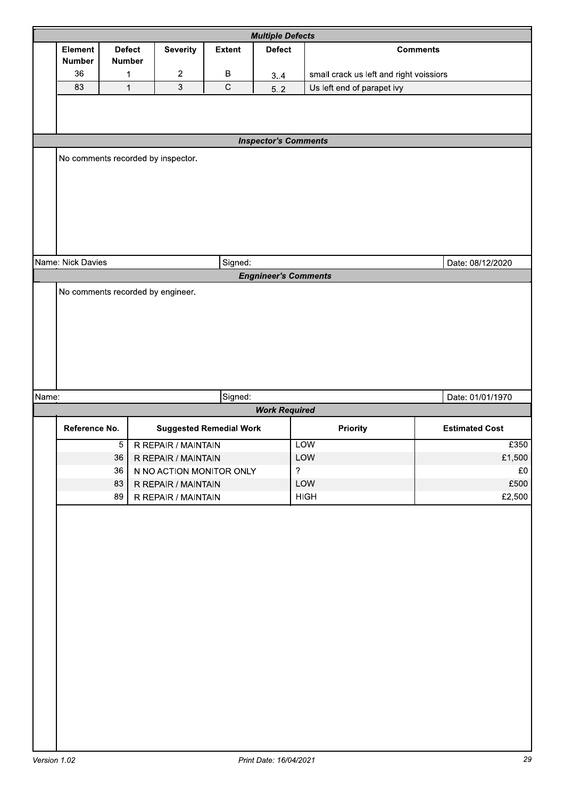|       |                                   |                                |                                                       |                | <b>Multiple Defects</b>     |                                         |                               |
|-------|-----------------------------------|--------------------------------|-------------------------------------------------------|----------------|-----------------------------|-----------------------------------------|-------------------------------|
|       | Element<br><b>Number</b>          | <b>Defect</b><br><b>Number</b> | <b>Severity</b>                                       | <b>Extent</b>  | <b>Defect</b>               |                                         | <b>Comments</b>               |
|       | 36                                | 1                              | $\overline{c}$                                        | B              | 3.4                         | small crack us left and right voissiors |                               |
|       | 83                                | $\overline{1}$                 | $\overline{3}$                                        | $\overline{C}$ | $5.2$                       | Us left end of parapet ivy              |                               |
|       |                                   |                                |                                                       |                |                             |                                         |                               |
|       |                                   |                                |                                                       |                | <b>Inspector's Comments</b> |                                         |                               |
|       |                                   |                                | No comments recorded by inspector.                    |                |                             |                                         |                               |
|       | Name: Nick Davies                 |                                |                                                       | Signed:        |                             |                                         | Date: 08/12/2020              |
|       | No comments recorded by engineer. |                                |                                                       |                |                             |                                         |                               |
| Name: |                                   |                                |                                                       | Signed:        |                             |                                         | Date: 01/01/1970              |
|       |                                   |                                |                                                       |                | <b>Work Required</b>        |                                         |                               |
|       | Reference No.                     | $\overline{5}$                 | <b>Suggested Remedial Work</b><br>R REPAIR / MAINTAIN |                |                             | Priority<br><b>LOW</b>                  | <b>Estimated Cost</b><br>£350 |
|       |                                   | 36                             | R REPAIR / MAINTAIN                                   |                |                             | LOW                                     | £1,500                        |
|       |                                   | 36                             | N NO ACTION MONITOR ONLY                              |                | $\overline{?}$              |                                         | £0                            |
|       |                                   | 83                             | R REPAIR / MAINTAIN                                   |                |                             | LOW                                     | £500                          |
|       |                                   | 89                             | R REPAIR / MAINTAIN                                   |                |                             | <b>HIGH</b>                             | £2,500                        |
|       |                                   |                                |                                                       |                |                             |                                         |                               |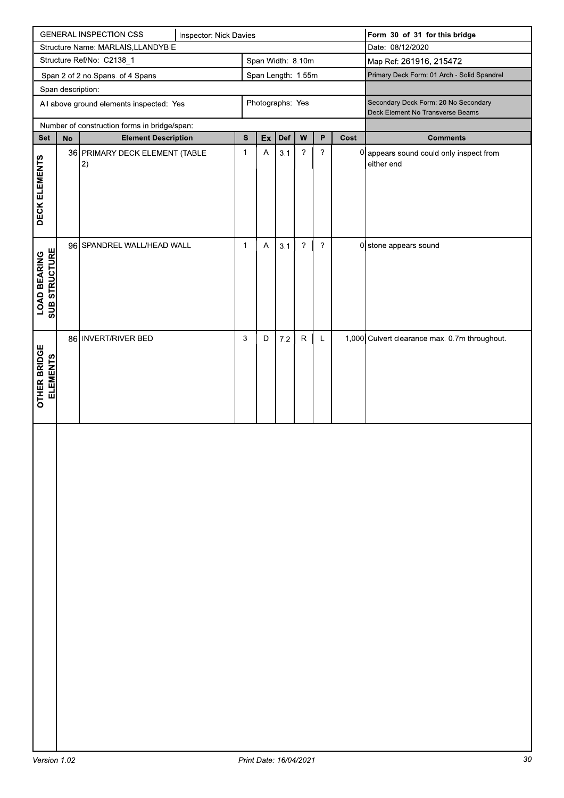|                                       |                   | <b>GENERAL INSPECTION CSS</b>                | Inspector: Nick Davies |              |                           |         |                |                |      | Form 30 of 31 for this bridge                                            |
|---------------------------------------|-------------------|----------------------------------------------|------------------------|--------------|---------------------------|---------|----------------|----------------|------|--------------------------------------------------------------------------|
|                                       |                   | Structure Name: MARLAIS, LLANDYBIE           |                        |              |                           |         |                |                |      | Date: 08/12/2020                                                         |
|                                       |                   | Structure Ref/No: C2138_1                    |                        |              | Span Width: 8.10m         |         |                |                |      | Map Ref: 261916, 215472                                                  |
|                                       |                   | Span 2 of 2 no. Spans. of 4 Spans            |                        |              | Span Length: 1.55m        |         |                |                |      | Primary Deck Form: 01 Arch - Solid Spandrel                              |
|                                       | Span description: |                                              |                        |              |                           |         |                |                |      |                                                                          |
|                                       |                   | All above ground elements inspected: Yes     |                        |              | Photographs: Yes          |         |                |                |      | Secondary Deck Form: 20 No Secondary<br>Deck Element No Transverse Beams |
|                                       |                   | Number of construction forms in bridge/span: |                        |              |                           |         |                |                |      |                                                                          |
| <b>Set</b>                            | $\mathsf{No}$     | <b>Element Description</b>                   |                        | ${\bf s}$    | Ex                        | Def     | W              | $\mathsf{P}$   | Cost | <b>Comments</b>                                                          |
|                                       |                   | 36 PRIMARY DECK ELEMENT (TABLE               |                        | $\mathbf{1}$ | $\boldsymbol{\mathsf{A}}$ | 3.1     | $\gamma$       | $\overline{?}$ |      | 0 appears sound could only inspect from                                  |
| DECK ELEMENTS                         |                   | $ 2\rangle$                                  |                        |              |                           |         |                |                |      | either end                                                               |
|                                       |                   |                                              |                        |              |                           |         |                |                |      |                                                                          |
|                                       |                   |                                              |                        |              |                           |         |                |                |      |                                                                          |
|                                       |                   |                                              |                        |              |                           |         |                |                |      |                                                                          |
|                                       |                   |                                              |                        |              |                           |         |                |                |      |                                                                          |
|                                       |                   |                                              |                        |              |                           |         |                |                |      |                                                                          |
|                                       |                   | 96 SPANDREL WALL/HEAD WALL                   |                        | $\mathbf{1}$ | $\boldsymbol{\mathsf{A}}$ | 3.1     | $\overline{?}$ | $\overline{?}$ |      | 0 stone appears sound                                                    |
| <b>LOAD BEARING<br/>SUB STRUCTURE</b> |                   |                                              |                        |              |                           |         |                |                |      |                                                                          |
|                                       |                   |                                              |                        |              |                           |         |                |                |      |                                                                          |
|                                       |                   |                                              |                        |              |                           |         |                |                |      |                                                                          |
|                                       |                   |                                              |                        |              |                           |         |                |                |      |                                                                          |
|                                       |                   |                                              |                        |              |                           |         |                |                |      |                                                                          |
|                                       |                   | 86 INVERT/RIVER BED                          |                        | 3            | D                         | $7.2\,$ | ${\sf R}$      | L              |      | 1,000 Culvert clearance max. 0.7m throughout.                            |
|                                       |                   |                                              |                        |              |                           |         |                |                |      |                                                                          |
|                                       |                   |                                              |                        |              |                           |         |                |                |      |                                                                          |
| <b>ELEMENTS</b>                       |                   |                                              |                        |              |                           |         |                |                |      |                                                                          |
| <b>OTHER BRIDGE</b>                   |                   |                                              |                        |              |                           |         |                |                |      |                                                                          |
|                                       |                   |                                              |                        |              |                           |         |                |                |      |                                                                          |
|                                       |                   |                                              |                        |              |                           |         |                |                |      |                                                                          |
|                                       |                   |                                              |                        |              |                           |         |                |                |      |                                                                          |
|                                       |                   |                                              |                        |              |                           |         |                |                |      |                                                                          |
|                                       |                   |                                              |                        |              |                           |         |                |                |      |                                                                          |
|                                       |                   |                                              |                        |              |                           |         |                |                |      |                                                                          |
|                                       |                   |                                              |                        |              |                           |         |                |                |      |                                                                          |
|                                       |                   |                                              |                        |              |                           |         |                |                |      |                                                                          |
|                                       |                   |                                              |                        |              |                           |         |                |                |      |                                                                          |
|                                       |                   |                                              |                        |              |                           |         |                |                |      |                                                                          |
|                                       |                   |                                              |                        |              |                           |         |                |                |      |                                                                          |
|                                       |                   |                                              |                        |              |                           |         |                |                |      |                                                                          |
|                                       |                   |                                              |                        |              |                           |         |                |                |      |                                                                          |
|                                       |                   |                                              |                        |              |                           |         |                |                |      |                                                                          |
|                                       |                   |                                              |                        |              |                           |         |                |                |      |                                                                          |
|                                       |                   |                                              |                        |              |                           |         |                |                |      |                                                                          |
|                                       |                   |                                              |                        |              |                           |         |                |                |      |                                                                          |
|                                       |                   |                                              |                        |              |                           |         |                |                |      |                                                                          |
|                                       |                   |                                              |                        |              |                           |         |                |                |      |                                                                          |
|                                       |                   |                                              |                        |              |                           |         |                |                |      |                                                                          |
|                                       |                   |                                              |                        |              |                           |         |                |                |      |                                                                          |
|                                       |                   |                                              |                        |              |                           |         |                |                |      |                                                                          |
|                                       |                   |                                              |                        |              |                           |         |                |                |      |                                                                          |
|                                       |                   |                                              |                        |              |                           |         |                |                |      |                                                                          |